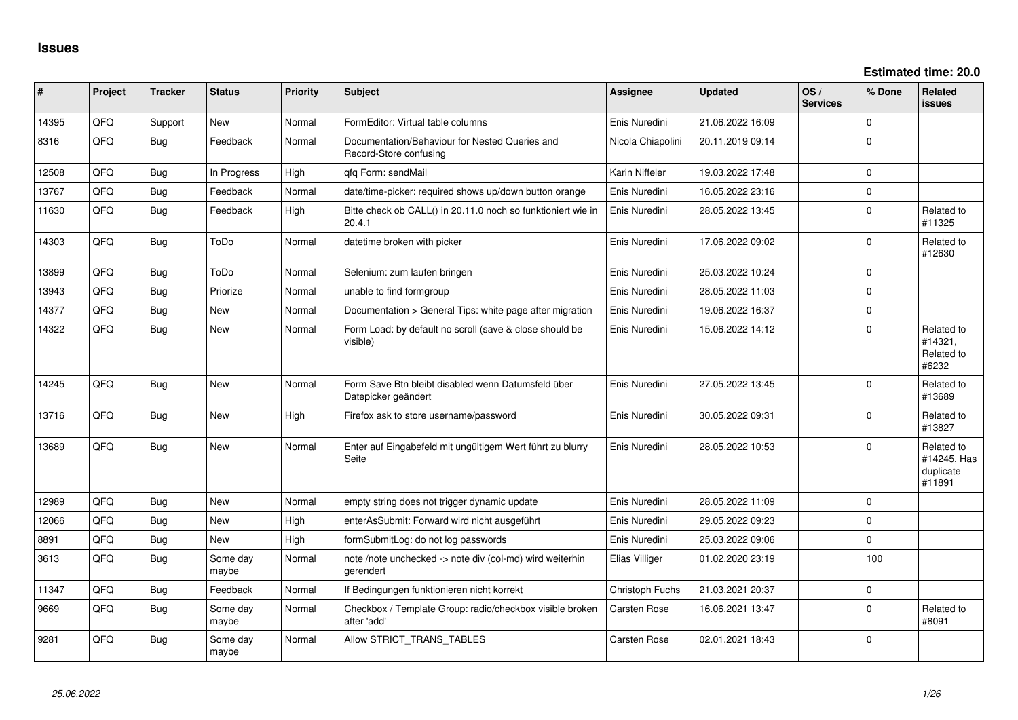| #     | Project | <b>Tracker</b> | <b>Status</b>     | <b>Priority</b> | <b>Subject</b>                                                            | <b>Assignee</b>     | <b>Updated</b>   | OS/<br><b>Services</b> | % Done       | Related<br><b>issues</b>                         |
|-------|---------|----------------|-------------------|-----------------|---------------------------------------------------------------------------|---------------------|------------------|------------------------|--------------|--------------------------------------------------|
| 14395 | QFQ     | Support        | <b>New</b>        | Normal          | FormEditor: Virtual table columns                                         | Enis Nuredini       | 21.06.2022 16:09 |                        | $\mathbf{0}$ |                                                  |
| 8316  | QFQ     | <b>Bug</b>     | Feedback          | Normal          | Documentation/Behaviour for Nested Queries and<br>Record-Store confusing  | Nicola Chiapolini   | 20.11.2019 09:14 |                        | $\Omega$     |                                                  |
| 12508 | QFQ     | Bug            | In Progress       | High            | qfq Form: sendMail                                                        | Karin Niffeler      | 19.03.2022 17:48 |                        | $\mathbf 0$  |                                                  |
| 13767 | QFQ     | <b>Bug</b>     | Feedback          | Normal          | date/time-picker: required shows up/down button orange                    | Enis Nuredini       | 16.05.2022 23:16 |                        | $\Omega$     |                                                  |
| 11630 | QFQ     | <b>Bug</b>     | Feedback          | High            | Bitte check ob CALL() in 20.11.0 noch so funktioniert wie in<br>20.4.1    | Enis Nuredini       | 28.05.2022 13:45 |                        | $\mathbf{0}$ | Related to<br>#11325                             |
| 14303 | QFQ     | <b>Bug</b>     | ToDo              | Normal          | datetime broken with picker                                               | Enis Nuredini       | 17.06.2022 09:02 |                        | $\Omega$     | Related to<br>#12630                             |
| 13899 | QFQ     | <b>Bug</b>     | ToDo              | Normal          | Selenium: zum laufen bringen                                              | Enis Nuredini       | 25.03.2022 10:24 |                        | $\mathbf 0$  |                                                  |
| 13943 | QFQ     | <b>Bug</b>     | Priorize          | Normal          | unable to find formgroup                                                  | Enis Nuredini       | 28.05.2022 11:03 |                        | $\Omega$     |                                                  |
| 14377 | QFQ     | <b>Bug</b>     | <b>New</b>        | Normal          | Documentation > General Tips: white page after migration                  | Enis Nuredini       | 19.06.2022 16:37 |                        | $\mathbf{0}$ |                                                  |
| 14322 | QFQ     | <b>Bug</b>     | New               | Normal          | Form Load: by default no scroll (save & close should be<br>visible)       | Enis Nuredini       | 15.06.2022 14:12 |                        | $\Omega$     | Related to<br>#14321,<br>Related to<br>#6232     |
| 14245 | QFQ     | <b>Bug</b>     | <b>New</b>        | Normal          | Form Save Btn bleibt disabled wenn Datumsfeld über<br>Datepicker geändert | Enis Nuredini       | 27.05.2022 13:45 |                        | $\Omega$     | Related to<br>#13689                             |
| 13716 | QFQ     | Bug            | New               | High            | Firefox ask to store username/password                                    | Enis Nuredini       | 30.05.2022 09:31 |                        | $\Omega$     | Related to<br>#13827                             |
| 13689 | QFQ     | <b>Bug</b>     | New               | Normal          | Enter auf Eingabefeld mit ungültigem Wert führt zu blurry<br>Seite        | Enis Nuredini       | 28.05.2022 10:53 |                        | $\Omega$     | Related to<br>#14245, Has<br>duplicate<br>#11891 |
| 12989 | QFQ     | Bug            | <b>New</b>        | Normal          | empty string does not trigger dynamic update                              | Enis Nuredini       | 28.05.2022 11:09 |                        | $\mathbf 0$  |                                                  |
| 12066 | QFQ     | <b>Bug</b>     | <b>New</b>        | High            | enterAsSubmit: Forward wird nicht ausgeführt                              | Enis Nuredini       | 29.05.2022 09:23 |                        | $\Omega$     |                                                  |
| 8891  | QFQ     | Bug            | <b>New</b>        | High            | formSubmitLog: do not log passwords                                       | Enis Nuredini       | 25.03.2022 09:06 |                        | $\mathbf 0$  |                                                  |
| 3613  | QFQ     | <b>Bug</b>     | Some day<br>maybe | Normal          | note /note unchecked -> note div (col-md) wird weiterhin<br>gerendert     | Elias Villiger      | 01.02.2020 23:19 |                        | 100          |                                                  |
| 11347 | QFQ     | <b>Bug</b>     | Feedback          | Normal          | If Bedingungen funktionieren nicht korrekt                                | Christoph Fuchs     | 21.03.2021 20:37 |                        | $\mathbf{0}$ |                                                  |
| 9669  | QFQ     | <b>Bug</b>     | Some day<br>maybe | Normal          | Checkbox / Template Group: radio/checkbox visible broken<br>after 'add'   | <b>Carsten Rose</b> | 16.06.2021 13:47 |                        | $\Omega$     | Related to<br>#8091                              |
| 9281  | QFQ     | <b>Bug</b>     | Some day<br>maybe | Normal          | Allow STRICT_TRANS_TABLES                                                 | <b>Carsten Rose</b> | 02.01.2021 18:43 |                        | $\Omega$     |                                                  |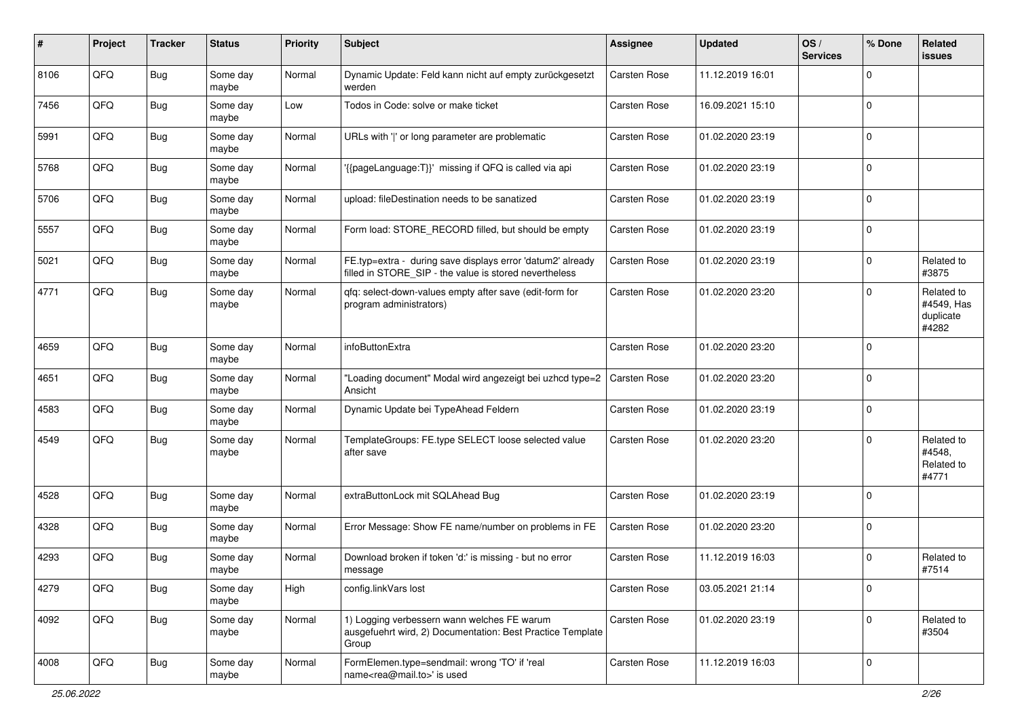| #    | Project | <b>Tracker</b> | <b>Status</b>     | <b>Priority</b> | <b>Subject</b>                                                                                                       | <b>Assignee</b>     | <b>Updated</b>   | OS/<br><b>Services</b> | % Done      | <b>Related</b><br><b>issues</b>                |
|------|---------|----------------|-------------------|-----------------|----------------------------------------------------------------------------------------------------------------------|---------------------|------------------|------------------------|-------------|------------------------------------------------|
| 8106 | QFQ     | <b>Bug</b>     | Some day<br>maybe | Normal          | Dynamic Update: Feld kann nicht auf empty zurückgesetzt<br>werden                                                    | <b>Carsten Rose</b> | 11.12.2019 16:01 |                        | $\mathbf 0$ |                                                |
| 7456 | QFQ     | Bug            | Some day<br>maybe | Low             | Todos in Code: solve or make ticket                                                                                  | Carsten Rose        | 16.09.2021 15:10 |                        | $\mathbf 0$ |                                                |
| 5991 | QFQ     | <b>Bug</b>     | Some day<br>maybe | Normal          | URLs with ' ' or long parameter are problematic                                                                      | Carsten Rose        | 01.02.2020 23:19 |                        | $\mathbf 0$ |                                                |
| 5768 | QFQ     | <b>Bug</b>     | Some day<br>maybe | Normal          | '{{pageLanguage:T}}' missing if QFQ is called via api                                                                | Carsten Rose        | 01.02.2020 23:19 |                        | $\mathbf 0$ |                                                |
| 5706 | QFQ     | <b>Bug</b>     | Some day<br>maybe | Normal          | upload: fileDestination needs to be sanatized                                                                        | Carsten Rose        | 01.02.2020 23:19 |                        | $\mathbf 0$ |                                                |
| 5557 | QFQ     | Bug            | Some day<br>maybe | Normal          | Form load: STORE_RECORD filled, but should be empty                                                                  | Carsten Rose        | 01.02.2020 23:19 |                        | $\mathbf 0$ |                                                |
| 5021 | QFQ     | Bug            | Some day<br>maybe | Normal          | FE.typ=extra - during save displays error 'datum2' already<br>filled in STORE_SIP - the value is stored nevertheless | Carsten Rose        | 01.02.2020 23:19 |                        | $\mathbf 0$ | Related to<br>#3875                            |
| 4771 | QFQ     | <b>Bug</b>     | Some day<br>maybe | Normal          | qfq: select-down-values empty after save (edit-form for<br>program administrators)                                   | Carsten Rose        | 01.02.2020 23:20 |                        | $\mathbf 0$ | Related to<br>#4549, Has<br>duplicate<br>#4282 |
| 4659 | QFQ     | <b>Bug</b>     | Some day<br>maybe | Normal          | infoButtonExtra                                                                                                      | Carsten Rose        | 01.02.2020 23:20 |                        | $\mathbf 0$ |                                                |
| 4651 | QFQ     | <b>Bug</b>     | Some day<br>maybe | Normal          | "Loading document" Modal wird angezeigt bei uzhcd type=2<br>Ansicht                                                  | Carsten Rose        | 01.02.2020 23:20 |                        | $\mathbf 0$ |                                                |
| 4583 | QFQ     | <b>Bug</b>     | Some day<br>maybe | Normal          | Dynamic Update bei TypeAhead Feldern                                                                                 | Carsten Rose        | 01.02.2020 23:19 |                        | $\mathbf 0$ |                                                |
| 4549 | QFQ     | Bug            | Some day<br>maybe | Normal          | TemplateGroups: FE.type SELECT loose selected value<br>after save                                                    | Carsten Rose        | 01.02.2020 23:20 |                        | $\mathbf 0$ | Related to<br>#4548.<br>Related to<br>#4771    |
| 4528 | QFQ     | <b>Bug</b>     | Some day<br>maybe | Normal          | extraButtonLock mit SQLAhead Bug                                                                                     | Carsten Rose        | 01.02.2020 23:19 |                        | $\mathbf 0$ |                                                |
| 4328 | QFQ     | <b>Bug</b>     | Some day<br>maybe | Normal          | Error Message: Show FE name/number on problems in FE                                                                 | Carsten Rose        | 01.02.2020 23:20 |                        | $\mathbf 0$ |                                                |
| 4293 | QFQ     | <b>Bug</b>     | Some day<br>maybe | Normal          | Download broken if token 'd:' is missing - but no error<br>message                                                   | Carsten Rose        | 11.12.2019 16:03 |                        | $\mathbf 0$ | Related to<br>#7514                            |
| 4279 | QFG     | <b>Bug</b>     | Some day<br>maybe | High            | config.linkVars lost                                                                                                 | Carsten Rose        | 03.05.2021 21:14 |                        | $\mathbf 0$ |                                                |
| 4092 | QFG     | <b>Bug</b>     | Some day<br>maybe | Normal          | 1) Logging verbessern wann welches FE warum<br>ausgefuehrt wird, 2) Documentation: Best Practice Template<br>Group   | Carsten Rose        | 01.02.2020 23:19 |                        | $\mathbf 0$ | Related to<br>#3504                            |
| 4008 | QFG     | <b>Bug</b>     | Some day<br>maybe | Normal          | FormElemen.type=sendmail: wrong 'TO' if 'real<br>name <rea@mail.to>' is used</rea@mail.to>                           | Carsten Rose        | 11.12.2019 16:03 |                        | $\mathbf 0$ |                                                |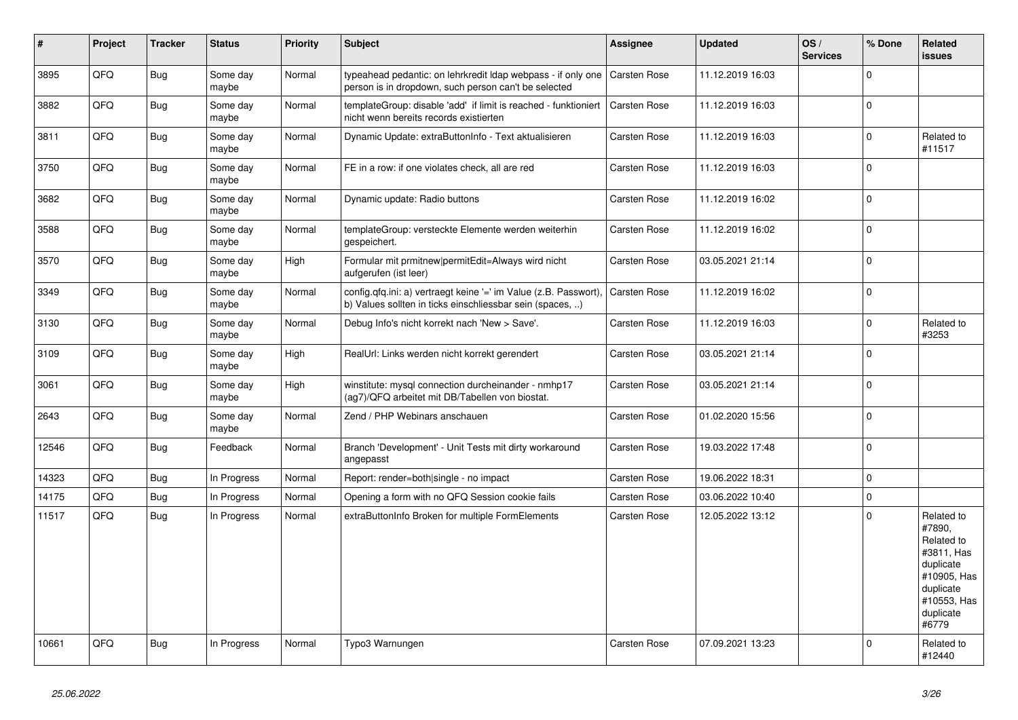| #     | Project | <b>Tracker</b> | <b>Status</b>     | <b>Priority</b> | <b>Subject</b>                                                                                                                | Assignee            | <b>Updated</b>   | OS/<br><b>Services</b> | % Done       | Related<br><b>issues</b>                                                                                                       |
|-------|---------|----------------|-------------------|-----------------|-------------------------------------------------------------------------------------------------------------------------------|---------------------|------------------|------------------------|--------------|--------------------------------------------------------------------------------------------------------------------------------|
| 3895  | QFQ     | <b>Bug</b>     | Some day<br>maybe | Normal          | typeahead pedantic: on lehrkredit Idap webpass - if only one<br>person is in dropdown, such person can't be selected          | Carsten Rose        | 11.12.2019 16:03 |                        | $\mathbf{0}$ |                                                                                                                                |
| 3882  | QFQ     | <b>Bug</b>     | Some day<br>maybe | Normal          | templateGroup: disable 'add' if limit is reached - funktioniert<br>nicht wenn bereits records existierten                     | <b>Carsten Rose</b> | 11.12.2019 16:03 |                        | $\mathbf 0$  |                                                                                                                                |
| 3811  | QFQ     | <b>Bug</b>     | Some day<br>maybe | Normal          | Dynamic Update: extraButtonInfo - Text aktualisieren                                                                          | Carsten Rose        | 11.12.2019 16:03 |                        | $\mathbf 0$  | Related to<br>#11517                                                                                                           |
| 3750  | QFQ     | Bug            | Some day<br>maybe | Normal          | FE in a row: if one violates check, all are red                                                                               | Carsten Rose        | 11.12.2019 16:03 |                        | $\mathbf 0$  |                                                                                                                                |
| 3682  | QFQ     | Bug            | Some day<br>maybe | Normal          | Dynamic update: Radio buttons                                                                                                 | Carsten Rose        | 11.12.2019 16:02 |                        | $\pmb{0}$    |                                                                                                                                |
| 3588  | QFQ     | <b>Bug</b>     | Some day<br>maybe | Normal          | templateGroup: versteckte Elemente werden weiterhin<br>gespeichert.                                                           | <b>Carsten Rose</b> | 11.12.2019 16:02 |                        | $\mathbf 0$  |                                                                                                                                |
| 3570  | QFQ     | Bug            | Some day<br>maybe | High            | Formular mit prmitnew permitEdit=Always wird nicht<br>aufgerufen (ist leer)                                                   | Carsten Rose        | 03.05.2021 21:14 |                        | $\mathbf 0$  |                                                                                                                                |
| 3349  | QFQ     | <b>Bug</b>     | Some day<br>maybe | Normal          | config.qfq.ini: a) vertraegt keine '=' im Value (z.B. Passwort),<br>b) Values sollten in ticks einschliessbar sein (spaces, ) | Carsten Rose        | 11.12.2019 16:02 |                        | $\mathbf 0$  |                                                                                                                                |
| 3130  | QFQ     | <b>Bug</b>     | Some day<br>maybe | Normal          | Debug Info's nicht korrekt nach 'New > Save'.                                                                                 | Carsten Rose        | 11.12.2019 16:03 |                        | $\mathsf 0$  | Related to<br>#3253                                                                                                            |
| 3109  | QFQ     | <b>Bug</b>     | Some day<br>maybe | High            | RealUrl: Links werden nicht korrekt gerendert                                                                                 | <b>Carsten Rose</b> | 03.05.2021 21:14 |                        | $\Omega$     |                                                                                                                                |
| 3061  | QFQ     | Bug            | Some day<br>maybe | High            | winstitute: mysql connection durcheinander - nmhp17<br>(ag7)/QFQ arbeitet mit DB/Tabellen von biostat.                        | <b>Carsten Rose</b> | 03.05.2021 21:14 |                        | $\mathbf 0$  |                                                                                                                                |
| 2643  | QFQ     | <b>Bug</b>     | Some day<br>maybe | Normal          | Zend / PHP Webinars anschauen                                                                                                 | <b>Carsten Rose</b> | 01.02.2020 15:56 |                        | $\pmb{0}$    |                                                                                                                                |
| 12546 | QFQ     | Bug            | Feedback          | Normal          | Branch 'Development' - Unit Tests mit dirty workaround<br>angepasst                                                           | <b>Carsten Rose</b> | 19.03.2022 17:48 |                        | $\mathbf 0$  |                                                                                                                                |
| 14323 | QFQ     | <b>Bug</b>     | In Progress       | Normal          | Report: render=both single - no impact                                                                                        | Carsten Rose        | 19.06.2022 18:31 |                        | $\mathsf 0$  |                                                                                                                                |
| 14175 | QFQ     | Bug            | In Progress       | Normal          | Opening a form with no QFQ Session cookie fails                                                                               | <b>Carsten Rose</b> | 03.06.2022 10:40 |                        | $\pmb{0}$    |                                                                                                                                |
| 11517 | QFQ     | <b>Bug</b>     | In Progress       | Normal          | extraButtonInfo Broken for multiple FormElements                                                                              | Carsten Rose        | 12.05.2022 13:12 |                        | $\mathbf 0$  | Related to<br>#7890,<br>Related to<br>#3811, Has<br>duplicate<br>#10905, Has<br>duplicate<br>#10553, Has<br>duplicate<br>#6779 |
| 10661 | QFQ     | <b>Bug</b>     | In Progress       | Normal          | Typo3 Warnungen                                                                                                               | Carsten Rose        | 07.09.2021 13:23 |                        | $\Omega$     | Related to<br>#12440                                                                                                           |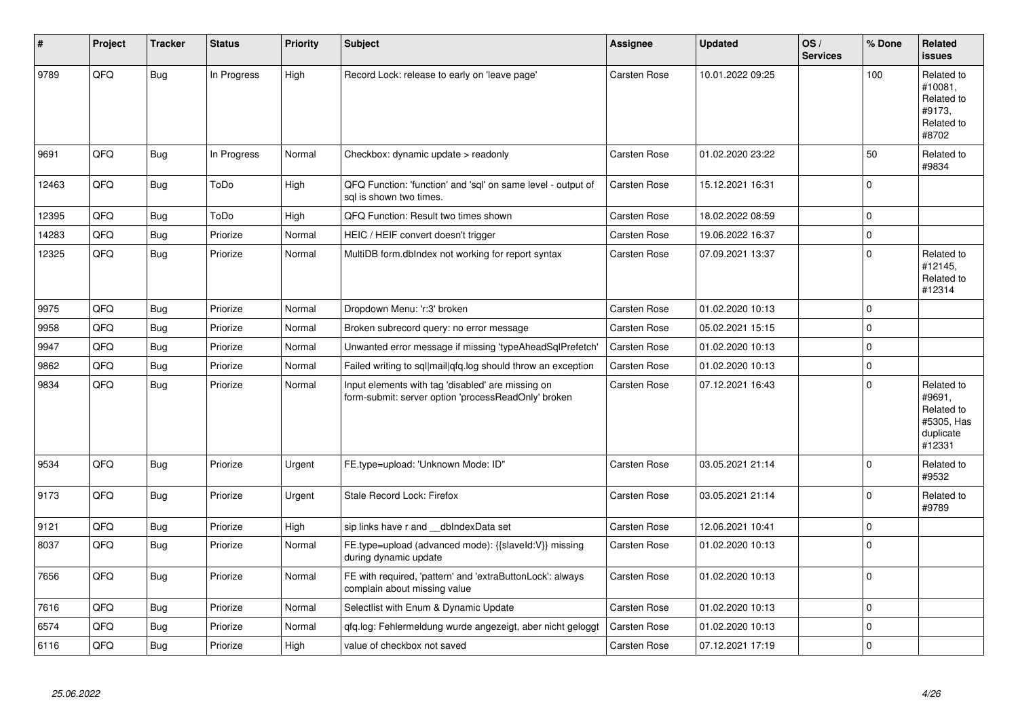| #     | Project | <b>Tracker</b> | <b>Status</b> | <b>Priority</b> | <b>Subject</b>                                                                                           | Assignee            | <b>Updated</b>   | OS/<br><b>Services</b> | % Done      | Related<br><b>issues</b>                                                |
|-------|---------|----------------|---------------|-----------------|----------------------------------------------------------------------------------------------------------|---------------------|------------------|------------------------|-------------|-------------------------------------------------------------------------|
| 9789  | QFQ     | <b>Bug</b>     | In Progress   | High            | Record Lock: release to early on 'leave page'                                                            | Carsten Rose        | 10.01.2022 09:25 |                        | 100         | Related to<br>#10081,<br>Related to<br>#9173,<br>Related to<br>#8702    |
| 9691  | QFQ     | <b>Bug</b>     | In Progress   | Normal          | Checkbox: dynamic update > readonly                                                                      | <b>Carsten Rose</b> | 01.02.2020 23:22 |                        | 50          | Related to<br>#9834                                                     |
| 12463 | QFQ     | <b>Bug</b>     | ToDo          | High            | QFQ Function: 'function' and 'sql' on same level - output of<br>sal is shown two times.                  | Carsten Rose        | 15.12.2021 16:31 |                        | $\mathbf 0$ |                                                                         |
| 12395 | QFQ     | <b>Bug</b>     | ToDo          | High            | QFQ Function: Result two times shown                                                                     | Carsten Rose        | 18.02.2022 08:59 |                        | $\Omega$    |                                                                         |
| 14283 | QFQ     | Bug            | Priorize      | Normal          | HEIC / HEIF convert doesn't trigger                                                                      | Carsten Rose        | 19.06.2022 16:37 |                        | $\mathbf 0$ |                                                                         |
| 12325 | QFQ     | Bug            | Priorize      | Normal          | MultiDB form.dblndex not working for report syntax                                                       | Carsten Rose        | 07.09.2021 13:37 |                        | $\mathbf 0$ | Related to<br>#12145,<br>Related to<br>#12314                           |
| 9975  | QFQ     | Bug            | Priorize      | Normal          | Dropdown Menu: 'r:3' broken                                                                              | Carsten Rose        | 01.02.2020 10:13 |                        | $\mathbf 0$ |                                                                         |
| 9958  | QFQ     | Bug            | Priorize      | Normal          | Broken subrecord query: no error message                                                                 | Carsten Rose        | 05.02.2021 15:15 |                        | $\mathbf 0$ |                                                                         |
| 9947  | QFQ     | <b>Bug</b>     | Priorize      | Normal          | Unwanted error message if missing 'typeAheadSqlPrefetch'                                                 | Carsten Rose        | 01.02.2020 10:13 |                        | $\mathbf 0$ |                                                                         |
| 9862  | QFQ     | <b>Bug</b>     | Priorize      | Normal          | Failed writing to sql mail qfq.log should throw an exception                                             | Carsten Rose        | 01.02.2020 10:13 |                        | $\pmb{0}$   |                                                                         |
| 9834  | QFQ     | Bug            | Priorize      | Normal          | Input elements with tag 'disabled' are missing on<br>form-submit: server option 'processReadOnly' broken | Carsten Rose        | 07.12.2021 16:43 |                        | $\mathbf 0$ | Related to<br>#9691,<br>Related to<br>#5305, Has<br>duplicate<br>#12331 |
| 9534  | QFQ     | Bug            | Priorize      | Urgent          | FE.type=upload: 'Unknown Mode: ID"                                                                       | Carsten Rose        | 03.05.2021 21:14 |                        | $\Omega$    | Related to<br>#9532                                                     |
| 9173  | QFQ     | Bug            | Priorize      | Urgent          | Stale Record Lock: Firefox                                                                               | Carsten Rose        | 03.05.2021 21:14 |                        | $\mathbf 0$ | Related to<br>#9789                                                     |
| 9121  | QFQ     | <b>Bug</b>     | Priorize      | High            | sip links have r and dblndexData set                                                                     | Carsten Rose        | 12.06.2021 10:41 |                        | $\mathbf 0$ |                                                                         |
| 8037  | QFQ     | Bug            | Priorize      | Normal          | FE.type=upload (advanced mode): {{slaveld:V}} missing<br>during dynamic update                           | Carsten Rose        | 01.02.2020 10:13 |                        | $\Omega$    |                                                                         |
| 7656  | QFQ     | Bug            | Priorize      | Normal          | FE with required, 'pattern' and 'extraButtonLock': always<br>complain about missing value                | Carsten Rose        | 01.02.2020 10:13 |                        | $\mathbf 0$ |                                                                         |
| 7616  | QFQ     | Bug            | Priorize      | Normal          | Selectlist with Enum & Dynamic Update                                                                    | Carsten Rose        | 01.02.2020 10:13 |                        | $\mathbf 0$ |                                                                         |
| 6574  | QFQ     | <b>Bug</b>     | Priorize      | Normal          | gfg.log: Fehlermeldung wurde angezeigt, aber nicht geloggt                                               | Carsten Rose        | 01.02.2020 10:13 |                        | $\mathbf 0$ |                                                                         |
| 6116  | QFQ     | <b>Bug</b>     | Priorize      | High            | value of checkbox not saved                                                                              | Carsten Rose        | 07.12.2021 17:19 |                        | $\Omega$    |                                                                         |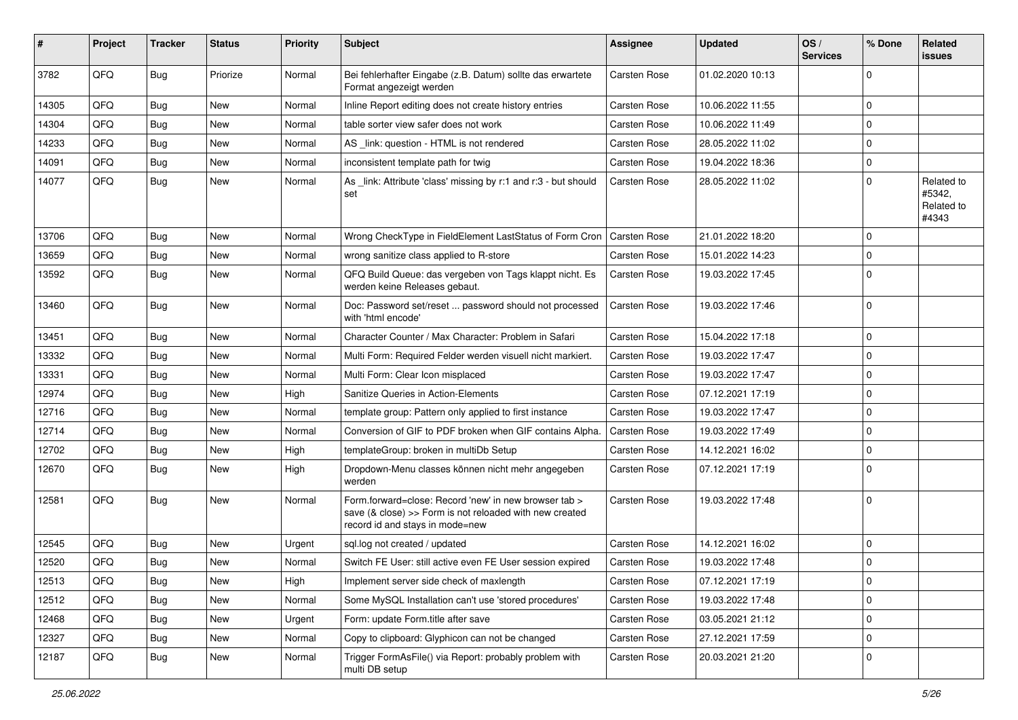| #     | Project | <b>Tracker</b> | <b>Status</b> | <b>Priority</b> | Subject                                                                                                                                             | <b>Assignee</b> | <b>Updated</b>   | OS/<br><b>Services</b> | % Done       | Related<br><b>issues</b>                    |
|-------|---------|----------------|---------------|-----------------|-----------------------------------------------------------------------------------------------------------------------------------------------------|-----------------|------------------|------------------------|--------------|---------------------------------------------|
| 3782  | QFQ     | <b>Bug</b>     | Priorize      | Normal          | Bei fehlerhafter Eingabe (z.B. Datum) sollte das erwartete<br>Format angezeigt werden                                                               | Carsten Rose    | 01.02.2020 10:13 |                        | $\Omega$     |                                             |
| 14305 | QFQ     | <b>Bug</b>     | <b>New</b>    | Normal          | Inline Report editing does not create history entries                                                                                               | Carsten Rose    | 10.06.2022 11:55 |                        | $\mathbf 0$  |                                             |
| 14304 | QFQ     | <b>Bug</b>     | New           | Normal          | table sorter view safer does not work                                                                                                               | Carsten Rose    | 10.06.2022 11:49 |                        | $\mathbf 0$  |                                             |
| 14233 | QFQ     | Bug            | New           | Normal          | AS link: question - HTML is not rendered                                                                                                            | Carsten Rose    | 28.05.2022 11:02 |                        | $\mathbf 0$  |                                             |
| 14091 | QFQ     | <b>Bug</b>     | <b>New</b>    | Normal          | inconsistent template path for twig                                                                                                                 | Carsten Rose    | 19.04.2022 18:36 |                        | $\pmb{0}$    |                                             |
| 14077 | QFQ     | Bug            | New           | Normal          | As _link: Attribute 'class' missing by r:1 and r:3 - but should<br>set                                                                              | Carsten Rose    | 28.05.2022 11:02 |                        | $\mathbf 0$  | Related to<br>#5342,<br>Related to<br>#4343 |
| 13706 | QFQ     | <b>Bug</b>     | <b>New</b>    | Normal          | Wrong CheckType in FieldElement LastStatus of Form Cron                                                                                             | Carsten Rose    | 21.01.2022 18:20 |                        | $\mathbf 0$  |                                             |
| 13659 | QFQ     | <b>Bug</b>     | New           | Normal          | wrong sanitize class applied to R-store                                                                                                             | Carsten Rose    | 15.01.2022 14:23 |                        | $\mathbf 0$  |                                             |
| 13592 | QFQ     | <b>Bug</b>     | New           | Normal          | QFQ Build Queue: das vergeben von Tags klappt nicht. Es<br>werden keine Releases gebaut.                                                            | Carsten Rose    | 19.03.2022 17:45 |                        | $\mathbf 0$  |                                             |
| 13460 | QFQ     | Bug            | New           | Normal          | Doc: Password set/reset  password should not processed<br>with 'html encode'                                                                        | Carsten Rose    | 19.03.2022 17:46 |                        | $\mathbf 0$  |                                             |
| 13451 | QFQ     | Bug            | New           | Normal          | Character Counter / Max Character: Problem in Safari                                                                                                | Carsten Rose    | 15.04.2022 17:18 |                        | $\mathbf 0$  |                                             |
| 13332 | QFQ     | <b>Bug</b>     | New           | Normal          | Multi Form: Required Felder werden visuell nicht markiert.                                                                                          | Carsten Rose    | 19.03.2022 17:47 |                        | $\mathbf 0$  |                                             |
| 13331 | QFQ     | <b>Bug</b>     | New           | Normal          | Multi Form: Clear Icon misplaced                                                                                                                    | Carsten Rose    | 19.03.2022 17:47 |                        | $\mathbf 0$  |                                             |
| 12974 | QFQ     | Bug            | New           | High            | Sanitize Queries in Action-Elements                                                                                                                 | Carsten Rose    | 07.12.2021 17:19 |                        | $\mathbf 0$  |                                             |
| 12716 | QFQ     | <b>Bug</b>     | New           | Normal          | template group: Pattern only applied to first instance                                                                                              | Carsten Rose    | 19.03.2022 17:47 |                        | $\mathbf 0$  |                                             |
| 12714 | QFQ     | <b>Bug</b>     | New           | Normal          | Conversion of GIF to PDF broken when GIF contains Alpha.                                                                                            | Carsten Rose    | 19.03.2022 17:49 |                        | $\mathbf 0$  |                                             |
| 12702 | QFQ     | <b>Bug</b>     | <b>New</b>    | High            | templateGroup: broken in multiDb Setup                                                                                                              | Carsten Rose    | 14.12.2021 16:02 |                        | $\mathbf 0$  |                                             |
| 12670 | QFQ     | <b>Bug</b>     | New           | High            | Dropdown-Menu classes können nicht mehr angegeben<br>werden                                                                                         | Carsten Rose    | 07.12.2021 17:19 |                        | $\mathbf 0$  |                                             |
| 12581 | QFQ     | <b>Bug</b>     | New           | Normal          | Form.forward=close: Record 'new' in new browser tab ><br>save (& close) >> Form is not reloaded with new created<br>record id and stays in mode=new | Carsten Rose    | 19.03.2022 17:48 |                        | $\mathbf{0}$ |                                             |
| 12545 | QFQ     | <b>Bug</b>     | New           | Urgent          | sql.log not created / updated                                                                                                                       | Carsten Rose    | 14.12.2021 16:02 |                        | $\mathbf 0$  |                                             |
| 12520 | QFQ     | <b>Bug</b>     | New           | Normal          | Switch FE User: still active even FE User session expired                                                                                           | Carsten Rose    | 19.03.2022 17:48 |                        | $\mathbf 0$  |                                             |
| 12513 | QFQ     | Bug            | New           | High            | Implement server side check of maxlength                                                                                                            | Carsten Rose    | 07.12.2021 17:19 |                        | $\mathbf 0$  |                                             |
| 12512 | QFQ     | <b>Bug</b>     | New           | Normal          | Some MySQL Installation can't use 'stored procedures'                                                                                               | Carsten Rose    | 19.03.2022 17:48 |                        | $\mathbf 0$  |                                             |
| 12468 | QFQ     | Bug            | New           | Urgent          | Form: update Form.title after save                                                                                                                  | Carsten Rose    | 03.05.2021 21:12 |                        | $\mathbf 0$  |                                             |
| 12327 | QFQ     | Bug            | New           | Normal          | Copy to clipboard: Glyphicon can not be changed                                                                                                     | Carsten Rose    | 27.12.2021 17:59 |                        | 0            |                                             |
| 12187 | QFG     | <b>Bug</b>     | New           | Normal          | Trigger FormAsFile() via Report: probably problem with<br>multi DB setup                                                                            | Carsten Rose    | 20.03.2021 21:20 |                        | $\mathbf 0$  |                                             |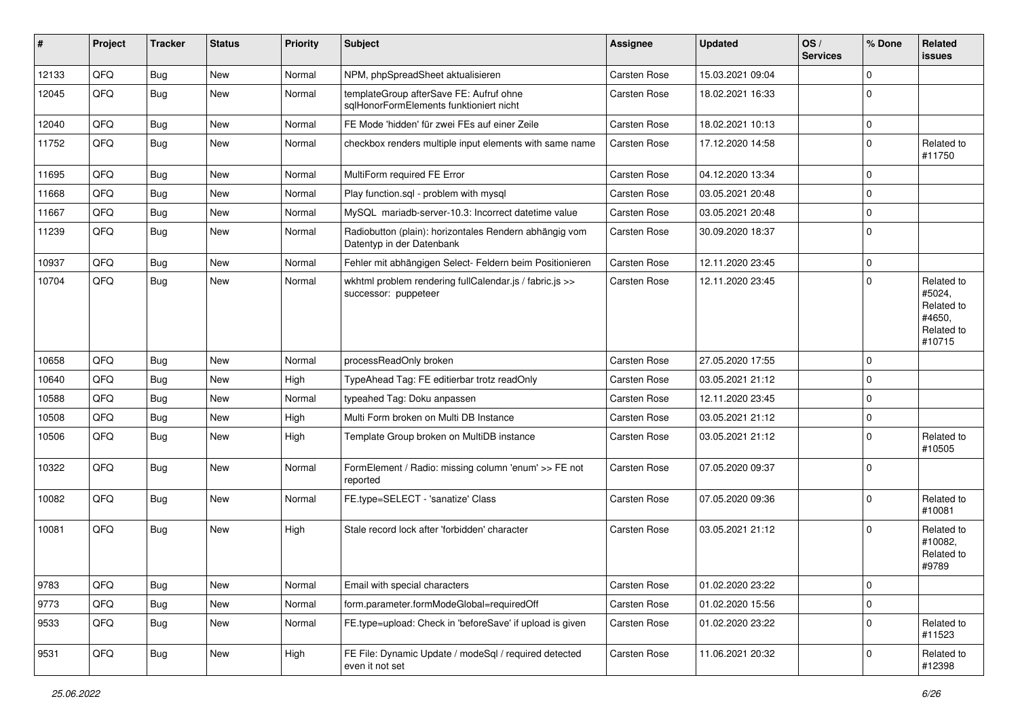| #     | Project | <b>Tracker</b> | <b>Status</b> | <b>Priority</b> | Subject                                                                             | <b>Assignee</b> | <b>Updated</b>   | OS/<br><b>Services</b> | % Done      | Related<br><b>issues</b>                                             |
|-------|---------|----------------|---------------|-----------------|-------------------------------------------------------------------------------------|-----------------|------------------|------------------------|-------------|----------------------------------------------------------------------|
| 12133 | QFQ     | <b>Bug</b>     | New           | Normal          | NPM, phpSpreadSheet aktualisieren                                                   | Carsten Rose    | 15.03.2021 09:04 |                        | $\mathbf 0$ |                                                                      |
| 12045 | QFQ     | <b>Bug</b>     | New           | Normal          | templateGroup afterSave FE: Aufruf ohne<br>sqlHonorFormElements funktioniert nicht  | Carsten Rose    | 18.02.2021 16:33 |                        | $\mathbf 0$ |                                                                      |
| 12040 | QFQ     | <b>Bug</b>     | New           | Normal          | FE Mode 'hidden' für zwei FEs auf einer Zeile                                       | Carsten Rose    | 18.02.2021 10:13 |                        | $\mathbf 0$ |                                                                      |
| 11752 | QFQ     | <b>Bug</b>     | New           | Normal          | checkbox renders multiple input elements with same name                             | Carsten Rose    | 17.12.2020 14:58 |                        | $\mathbf 0$ | Related to<br>#11750                                                 |
| 11695 | QFQ     | <b>Bug</b>     | <b>New</b>    | Normal          | MultiForm required FE Error                                                         | Carsten Rose    | 04.12.2020 13:34 |                        | $\mathbf 0$ |                                                                      |
| 11668 | QFQ     | <b>Bug</b>     | New           | Normal          | Play function.sql - problem with mysql                                              | Carsten Rose    | 03.05.2021 20:48 |                        | $\mathbf 0$ |                                                                      |
| 11667 | QFQ     | <b>Bug</b>     | New           | Normal          | MySQL mariadb-server-10.3: Incorrect datetime value                                 | Carsten Rose    | 03.05.2021 20:48 |                        | $\mathbf 0$ |                                                                      |
| 11239 | QFQ     | <b>Bug</b>     | New           | Normal          | Radiobutton (plain): horizontales Rendern abhängig vom<br>Datentyp in der Datenbank | Carsten Rose    | 30.09.2020 18:37 |                        | $\mathbf 0$ |                                                                      |
| 10937 | QFQ     | <b>Bug</b>     | New           | Normal          | Fehler mit abhängigen Select- Feldern beim Positionieren                            | Carsten Rose    | 12.11.2020 23:45 |                        | $\mathbf 0$ |                                                                      |
| 10704 | QFQ     | <b>Bug</b>     | New           | Normal          | wkhtml problem rendering fullCalendar.js / fabric.js >><br>successor: puppeteer     | Carsten Rose    | 12.11.2020 23:45 |                        | $\mathbf 0$ | Related to<br>#5024,<br>Related to<br>#4650.<br>Related to<br>#10715 |
| 10658 | QFQ     | <b>Bug</b>     | New           | Normal          | processReadOnly broken                                                              | Carsten Rose    | 27.05.2020 17:55 |                        | $\mathbf 0$ |                                                                      |
| 10640 | QFQ     | <b>Bug</b>     | New           | High            | TypeAhead Tag: FE editierbar trotz readOnly                                         | Carsten Rose    | 03.05.2021 21:12 |                        | $\mathbf 0$ |                                                                      |
| 10588 | QFQ     | <b>Bug</b>     | New           | Normal          | typeahed Tag: Doku anpassen                                                         | Carsten Rose    | 12.11.2020 23:45 |                        | $\mathbf 0$ |                                                                      |
| 10508 | QFQ     | <b>Bug</b>     | New           | High            | Multi Form broken on Multi DB Instance                                              | Carsten Rose    | 03.05.2021 21:12 |                        | $\mathbf 0$ |                                                                      |
| 10506 | QFQ     | Bug            | New           | High            | Template Group broken on MultiDB instance                                           | Carsten Rose    | 03.05.2021 21:12 |                        | $\mathbf 0$ | Related to<br>#10505                                                 |
| 10322 | QFQ     | Bug            | New           | Normal          | FormElement / Radio: missing column 'enum' >> FE not<br>reported                    | Carsten Rose    | 07.05.2020 09:37 |                        | $\mathbf 0$ |                                                                      |
| 10082 | QFQ     | <b>Bug</b>     | New           | Normal          | FE.type=SELECT - 'sanatize' Class                                                   | Carsten Rose    | 07.05.2020 09:36 |                        | $\mathbf 0$ | Related to<br>#10081                                                 |
| 10081 | QFQ     | <b>Bug</b>     | New           | High            | Stale record lock after 'forbidden' character                                       | Carsten Rose    | 03.05.2021 21:12 |                        | $\mathbf 0$ | Related to<br>#10082,<br>Related to<br>#9789                         |
| 9783  | QFQ     | <b>Bug</b>     | New           | Normal          | Email with special characters                                                       | Carsten Rose    | 01.02.2020 23:22 |                        | $\pmb{0}$   |                                                                      |
| 9773  | QFQ     | <b>Bug</b>     | New           | Normal          | form.parameter.formModeGlobal=requiredOff                                           | Carsten Rose    | 01.02.2020 15:56 |                        | $\mathbf 0$ |                                                                      |
| 9533  | QFQ     | <b>Bug</b>     | New           | Normal          | FE.type=upload: Check in 'beforeSave' if upload is given                            | Carsten Rose    | 01.02.2020 23:22 |                        | $\pmb{0}$   | Related to<br>#11523                                                 |
| 9531  | QFQ     | Bug            | New           | High            | FE File: Dynamic Update / modeSql / required detected<br>even it not set            | Carsten Rose    | 11.06.2021 20:32 |                        | $\pmb{0}$   | Related to<br>#12398                                                 |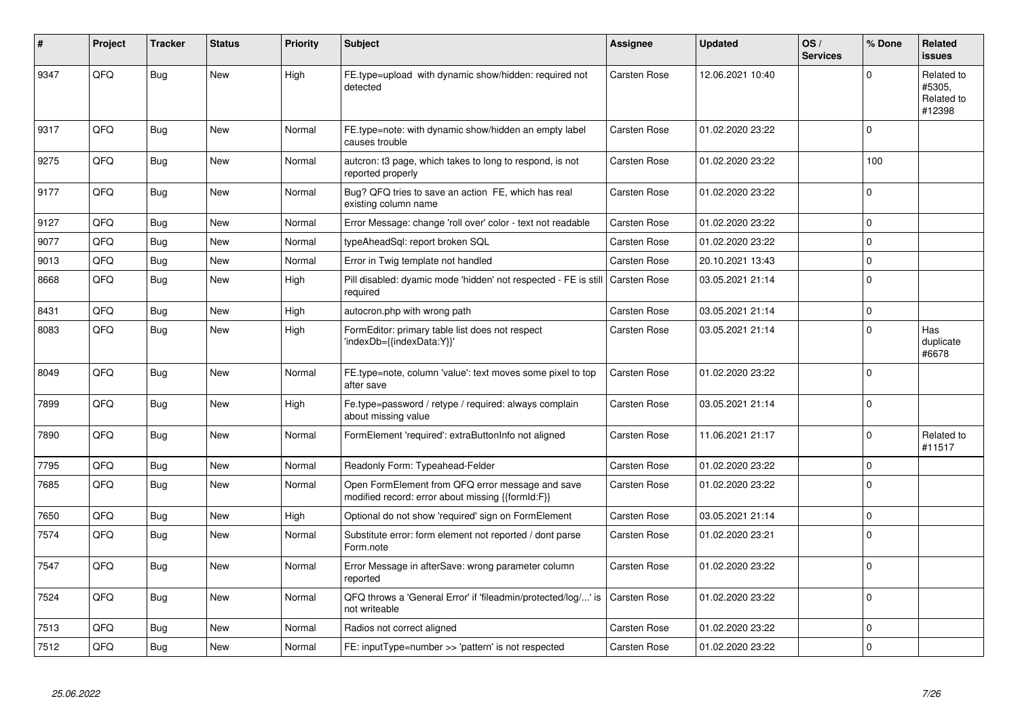| #    | Project | <b>Tracker</b> | <b>Status</b> | <b>Priority</b> | <b>Subject</b>                                                                                        | <b>Assignee</b>     | <b>Updated</b>   | OS/<br><b>Services</b> | % Done      | <b>Related</b><br><b>issues</b>              |
|------|---------|----------------|---------------|-----------------|-------------------------------------------------------------------------------------------------------|---------------------|------------------|------------------------|-------------|----------------------------------------------|
| 9347 | QFQ     | <b>Bug</b>     | New           | High            | FE.type=upload with dynamic show/hidden: required not<br>detected                                     | Carsten Rose        | 12.06.2021 10:40 |                        | $\Omega$    | Related to<br>#5305.<br>Related to<br>#12398 |
| 9317 | QFQ     | <b>Bug</b>     | <b>New</b>    | Normal          | FE.type=note: with dynamic show/hidden an empty label<br>causes trouble                               | Carsten Rose        | 01.02.2020 23:22 |                        | $\mathbf 0$ |                                              |
| 9275 | QFQ     | <b>Bug</b>     | New           | Normal          | autcron: t3 page, which takes to long to respond, is not<br>reported properly                         | Carsten Rose        | 01.02.2020 23:22 |                        | 100         |                                              |
| 9177 | QFQ     | <b>Bug</b>     | <b>New</b>    | Normal          | Bug? QFQ tries to save an action FE, which has real<br>existing column name                           | Carsten Rose        | 01.02.2020 23:22 |                        | $\Omega$    |                                              |
| 9127 | QFQ     | <b>Bug</b>     | <b>New</b>    | Normal          | Error Message: change 'roll over' color - text not readable                                           | Carsten Rose        | 01.02.2020 23:22 |                        | $\mathbf 0$ |                                              |
| 9077 | QFQ     | Bug            | New           | Normal          | typeAheadSql: report broken SQL                                                                       | Carsten Rose        | 01.02.2020 23:22 |                        | $\pmb{0}$   |                                              |
| 9013 | QFQ     | Bug            | New           | Normal          | Error in Twig template not handled                                                                    | <b>Carsten Rose</b> | 20.10.2021 13:43 |                        | $\mathsf 0$ |                                              |
| 8668 | QFQ     | Bug            | New           | High            | Pill disabled: dyamic mode 'hidden' not respected - FE is still<br>required                           | Carsten Rose        | 03.05.2021 21:14 |                        | $\pmb{0}$   |                                              |
| 8431 | QFQ     | <b>Bug</b>     | <b>New</b>    | High            | autocron.php with wrong path                                                                          | <b>Carsten Rose</b> | 03.05.2021 21:14 |                        | $\pmb{0}$   |                                              |
| 8083 | QFQ     | Bug            | New           | High            | FormEditor: primary table list does not respect<br>'indexDb={{indexData:Y}}'                          | Carsten Rose        | 03.05.2021 21:14 |                        | $\mathbf 0$ | Has<br>duplicate<br>#6678                    |
| 8049 | QFQ     | <b>Bug</b>     | <b>New</b>    | Normal          | FE.type=note, column 'value': text moves some pixel to top<br>after save                              | Carsten Rose        | 01.02.2020 23:22 |                        | $\Omega$    |                                              |
| 7899 | QFQ     | <b>Bug</b>     | <b>New</b>    | High            | Fe.type=password / retype / required: always complain<br>about missing value                          | Carsten Rose        | 03.05.2021 21:14 |                        | $\mathbf 0$ |                                              |
| 7890 | QFQ     | <b>Bug</b>     | <b>New</b>    | Normal          | FormElement 'required': extraButtonInfo not aligned                                                   | Carsten Rose        | 11.06.2021 21:17 |                        | $\Omega$    | Related to<br>#11517                         |
| 7795 | QFQ     | Bug            | <b>New</b>    | Normal          | Readonly Form: Typeahead-Felder                                                                       | <b>Carsten Rose</b> | 01.02.2020 23:22 |                        | $\mathbf 0$ |                                              |
| 7685 | QFQ     | Bug            | New           | Normal          | Open FormElement from QFQ error message and save<br>modified record: error about missing {{formId:F}} | Carsten Rose        | 01.02.2020 23:22 |                        | $\mathbf 0$ |                                              |
| 7650 | QFQ     | <b>Bug</b>     | New           | High            | Optional do not show 'required' sign on FormElement                                                   | <b>Carsten Rose</b> | 03.05.2021 21:14 |                        | $\mathbf 0$ |                                              |
| 7574 | QFQ     | Bug            | <b>New</b>    | Normal          | Substitute error: form element not reported / dont parse<br>Form.note                                 | <b>Carsten Rose</b> | 01.02.2020 23:21 |                        | $\mathbf 0$ |                                              |
| 7547 | QFQ     | <b>Bug</b>     | <b>New</b>    | Normal          | Error Message in afterSave: wrong parameter column<br>reported                                        | Carsten Rose        | 01.02.2020 23:22 |                        | $\mathbf 0$ |                                              |
| 7524 | QFQ     | Bug            | New           | Normal          | QFQ throws a 'General Error' if 'fileadmin/protected/log/' is<br>not writeable                        | <b>Carsten Rose</b> | 01.02.2020 23:22 |                        | $\mathbf 0$ |                                              |
| 7513 | QFQ     | Bug            | New           | Normal          | Radios not correct aligned                                                                            | <b>Carsten Rose</b> | 01.02.2020 23:22 |                        | $\mathbf 0$ |                                              |
| 7512 | QFQ     | Bug            | <b>New</b>    | Normal          | FE: inputType=number >> 'pattern' is not respected                                                    | <b>Carsten Rose</b> | 01.02.2020 23:22 |                        | $\mathbf 0$ |                                              |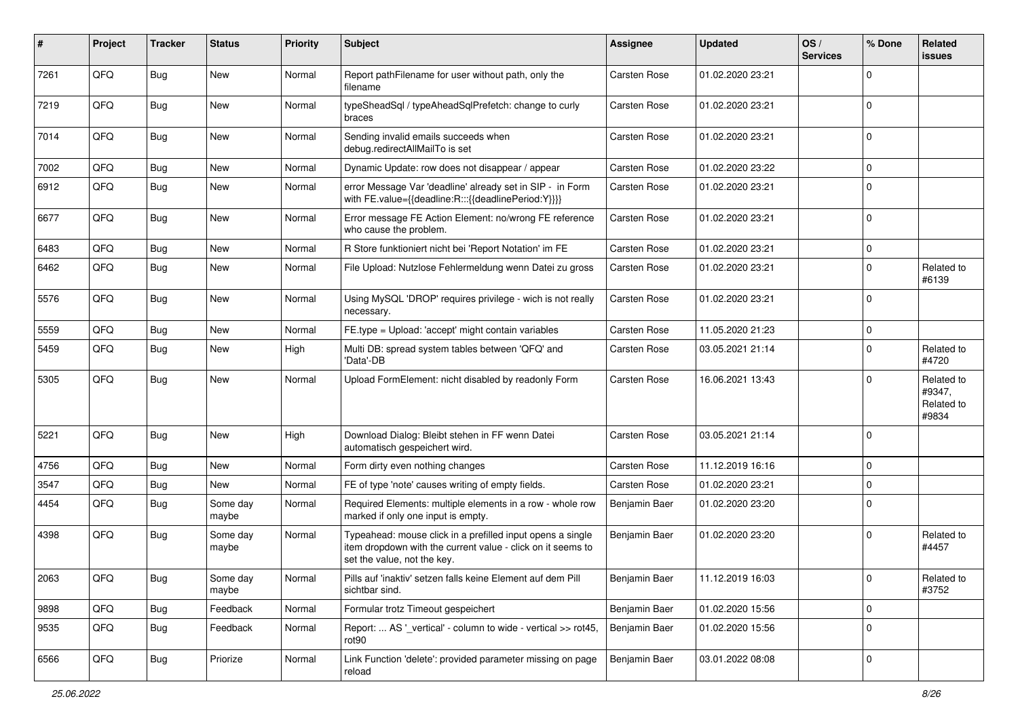| #    | Project | <b>Tracker</b> | <b>Status</b>     | <b>Priority</b> | <b>Subject</b>                                                                                                                                           | Assignee      | <b>Updated</b>   | OS/<br><b>Services</b> | % Done      | Related<br><b>issues</b>                    |
|------|---------|----------------|-------------------|-----------------|----------------------------------------------------------------------------------------------------------------------------------------------------------|---------------|------------------|------------------------|-------------|---------------------------------------------|
| 7261 | QFQ     | <b>Bug</b>     | <b>New</b>        | Normal          | Report pathFilename for user without path, only the<br>filename                                                                                          | Carsten Rose  | 01.02.2020 23:21 |                        | $\Omega$    |                                             |
| 7219 | QFQ     | Bug            | New               | Normal          | typeSheadSql / typeAheadSqlPrefetch: change to curly<br>braces                                                                                           | Carsten Rose  | 01.02.2020 23:21 |                        | $\mathbf 0$ |                                             |
| 7014 | QFQ     | <b>Bug</b>     | <b>New</b>        | Normal          | Sending invalid emails succeeds when<br>debug.redirectAllMailTo is set                                                                                   | Carsten Rose  | 01.02.2020 23:21 |                        | $\mathbf 0$ |                                             |
| 7002 | QFQ     | <b>Bug</b>     | New               | Normal          | Dynamic Update: row does not disappear / appear                                                                                                          | Carsten Rose  | 01.02.2020 23:22 |                        | 0           |                                             |
| 6912 | QFQ     | <b>Bug</b>     | New               | Normal          | error Message Var 'deadline' already set in SIP - in Form<br>with FE.value={{deadline:R:::{{deadlinePeriod:Y}}}}                                         | Carsten Rose  | 01.02.2020 23:21 |                        | $\Omega$    |                                             |
| 6677 | QFQ     | Bug            | New               | Normal          | Error message FE Action Element: no/wrong FE reference<br>who cause the problem.                                                                         | Carsten Rose  | 01.02.2020 23:21 |                        | $\mathbf 0$ |                                             |
| 6483 | QFQ     | <b>Bug</b>     | <b>New</b>        | Normal          | R Store funktioniert nicht bei 'Report Notation' im FE                                                                                                   | Carsten Rose  | 01.02.2020 23:21 |                        | $\mathbf 0$ |                                             |
| 6462 | QFQ     | <b>Bug</b>     | New               | Normal          | File Upload: Nutzlose Fehlermeldung wenn Datei zu gross                                                                                                  | Carsten Rose  | 01.02.2020 23:21 |                        | $\mathbf 0$ | Related to<br>#6139                         |
| 5576 | QFQ     | <b>Bug</b>     | New               | Normal          | Using MySQL 'DROP' requires privilege - wich is not really<br>necessary.                                                                                 | Carsten Rose  | 01.02.2020 23:21 |                        | $\mathbf 0$ |                                             |
| 5559 | QFQ     | <b>Bug</b>     | New               | Normal          | FE.type = Upload: 'accept' might contain variables                                                                                                       | Carsten Rose  | 11.05.2020 21:23 |                        | $\mathbf 0$ |                                             |
| 5459 | QFQ     | Bug            | New               | High            | Multi DB: spread system tables between 'QFQ' and<br>'Data'-DB                                                                                            | Carsten Rose  | 03.05.2021 21:14 |                        | $\mathbf 0$ | Related to<br>#4720                         |
| 5305 | QFQ     | <b>Bug</b>     | New               | Normal          | Upload FormElement: nicht disabled by readonly Form                                                                                                      | Carsten Rose  | 16.06.2021 13:43 |                        | $\mathbf 0$ | Related to<br>#9347,<br>Related to<br>#9834 |
| 5221 | QFQ     | <b>Bug</b>     | <b>New</b>        | High            | Download Dialog: Bleibt stehen in FF wenn Datei<br>automatisch gespeichert wird.                                                                         | Carsten Rose  | 03.05.2021 21:14 |                        | $\mathbf 0$ |                                             |
| 4756 | QFQ     | <b>Bug</b>     | <b>New</b>        | Normal          | Form dirty even nothing changes                                                                                                                          | Carsten Rose  | 11.12.2019 16:16 |                        | $\mathbf 0$ |                                             |
| 3547 | QFQ     | <b>Bug</b>     | New               | Normal          | FE of type 'note' causes writing of empty fields.                                                                                                        | Carsten Rose  | 01.02.2020 23:21 |                        | $\mathbf 0$ |                                             |
| 4454 | QFQ     | <b>Bug</b>     | Some day<br>maybe | Normal          | Required Elements: multiple elements in a row - whole row<br>marked if only one input is empty.                                                          | Benjamin Baer | 01.02.2020 23:20 |                        | $\Omega$    |                                             |
| 4398 | QFQ     | Bug            | Some day<br>maybe | Normal          | Typeahead: mouse click in a prefilled input opens a single<br>item dropdown with the current value - click on it seems to<br>set the value, not the key. | Benjamin Baer | 01.02.2020 23:20 |                        | $\mathbf 0$ | Related to<br>#4457                         |
| 2063 | QFQ     | <b>Bug</b>     | Some day<br>maybe | Normal          | Pills auf 'inaktiv' setzen falls keine Element auf dem Pill<br>sichtbar sind.                                                                            | Benjamin Baer | 11.12.2019 16:03 |                        | $\mathsf 0$ | Related to<br>#3752                         |
| 9898 | QFQ     | Bug            | Feedback          | Normal          | Formular trotz Timeout gespeichert                                                                                                                       | Benjamin Baer | 01.02.2020 15:56 |                        | $\mathbf 0$ |                                             |
| 9535 | QFQ     | Bug            | Feedback          | Normal          | Report:  AS '_vertical' - column to wide - vertical >> rot45,<br>rot90                                                                                   | Benjamin Baer | 01.02.2020 15:56 |                        | $\mathbf 0$ |                                             |
| 6566 | QFQ     | <b>Bug</b>     | Priorize          | Normal          | Link Function 'delete': provided parameter missing on page<br>reload                                                                                     | Benjamin Baer | 03.01.2022 08:08 |                        | 0           |                                             |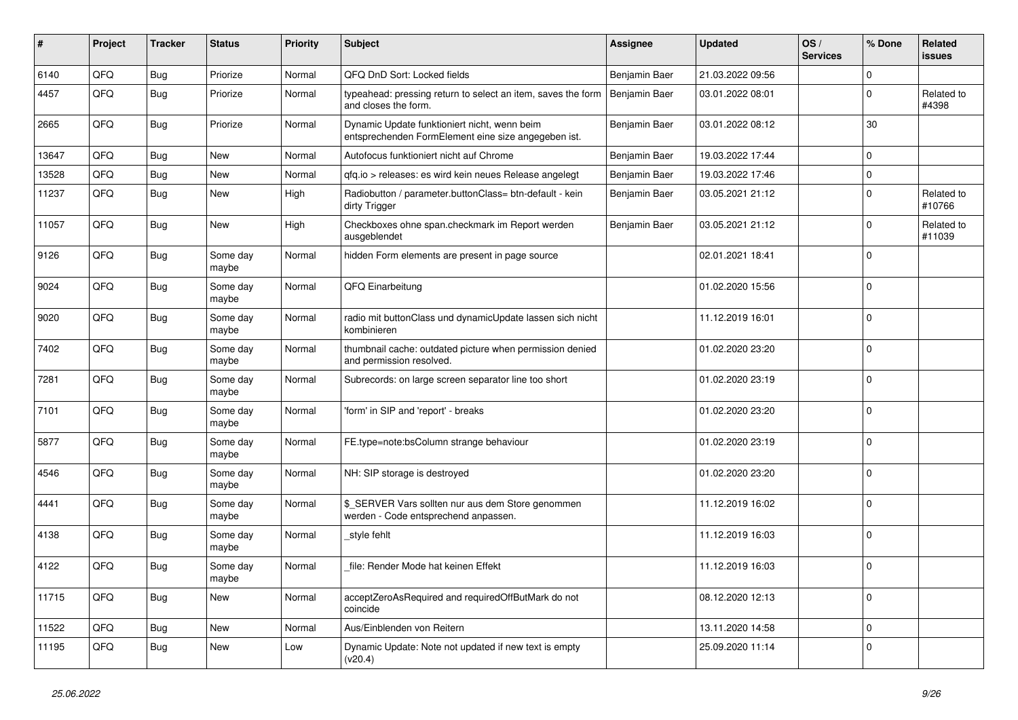| #     | Project | <b>Tracker</b> | <b>Status</b>     | <b>Priority</b> | <b>Subject</b>                                                                                      | <b>Assignee</b> | <b>Updated</b>   | OS/<br><b>Services</b> | % Done      | <b>Related</b><br>issues |
|-------|---------|----------------|-------------------|-----------------|-----------------------------------------------------------------------------------------------------|-----------------|------------------|------------------------|-------------|--------------------------|
| 6140  | QFQ     | <b>Bug</b>     | Priorize          | Normal          | QFQ DnD Sort: Locked fields                                                                         | Benjamin Baer   | 21.03.2022 09:56 |                        | $\mathbf 0$ |                          |
| 4457  | QFQ     | Bug            | Priorize          | Normal          | typeahead: pressing return to select an item, saves the form<br>and closes the form.                | Benjamin Baer   | 03.01.2022 08:01 |                        | $\mathbf 0$ | Related to<br>#4398      |
| 2665  | QFQ     | <b>Bug</b>     | Priorize          | Normal          | Dynamic Update funktioniert nicht, wenn beim<br>entsprechenden FormElement eine size angegeben ist. | Benjamin Baer   | 03.01.2022 08:12 |                        | 30          |                          |
| 13647 | QFQ     | <b>Bug</b>     | <b>New</b>        | Normal          | Autofocus funktioniert nicht auf Chrome                                                             | Benjamin Baer   | 19.03.2022 17:44 |                        | $\mathbf 0$ |                          |
| 13528 | QFQ     | <b>Bug</b>     | <b>New</b>        | Normal          | gfg.io > releases: es wird kein neues Release angelegt                                              | Benjamin Baer   | 19.03.2022 17:46 |                        | $\Omega$    |                          |
| 11237 | QFQ     | Bug            | New               | High            | Radiobutton / parameter.buttonClass= btn-default - kein<br>dirty Trigger                            | Benjamin Baer   | 03.05.2021 21:12 |                        | $\Omega$    | Related to<br>#10766     |
| 11057 | QFQ     | Bug            | <b>New</b>        | High            | Checkboxes ohne span.checkmark im Report werden<br>ausgeblendet                                     | Benjamin Baer   | 03.05.2021 21:12 |                        | $\mathbf 0$ | Related to<br>#11039     |
| 9126  | QFQ     | Bug            | Some day<br>maybe | Normal          | hidden Form elements are present in page source                                                     |                 | 02.01.2021 18:41 |                        | $\mathbf 0$ |                          |
| 9024  | QFQ     | <b>Bug</b>     | Some day<br>maybe | Normal          | QFQ Einarbeitung                                                                                    |                 | 01.02.2020 15:56 |                        | $\mathbf 0$ |                          |
| 9020  | QFQ     | <b>Bug</b>     | Some day<br>maybe | Normal          | radio mit buttonClass und dynamicUpdate lassen sich nicht<br>kombinieren                            |                 | 11.12.2019 16:01 |                        | $\mathbf 0$ |                          |
| 7402  | QFQ     | <b>Bug</b>     | Some day<br>maybe | Normal          | thumbnail cache: outdated picture when permission denied<br>and permission resolved.                |                 | 01.02.2020 23:20 |                        | $\mathbf 0$ |                          |
| 7281  | QFQ     | <b>Bug</b>     | Some day<br>maybe | Normal          | Subrecords: on large screen separator line too short                                                |                 | 01.02.2020 23:19 |                        | $\mathbf 0$ |                          |
| 7101  | QFQ     | <b>Bug</b>     | Some day<br>maybe | Normal          | 'form' in SIP and 'report' - breaks                                                                 |                 | 01.02.2020 23:20 |                        | $\mathbf 0$ |                          |
| 5877  | QFQ     | Bug            | Some day<br>maybe | Normal          | FE.type=note:bsColumn strange behaviour                                                             |                 | 01.02.2020 23:19 |                        | $\mathbf 0$ |                          |
| 4546  | QFQ     | <b>Bug</b>     | Some day<br>maybe | Normal          | NH: SIP storage is destroyed                                                                        |                 | 01.02.2020 23:20 |                        | $\mathbf 0$ |                          |
| 4441  | QFQ     | <b>Bug</b>     | Some day<br>maybe | Normal          | \$ SERVER Vars sollten nur aus dem Store genommen<br>werden - Code entsprechend anpassen.           |                 | 11.12.2019 16:02 |                        | $\mathbf 0$ |                          |
| 4138  | QFQ     | <b>Bug</b>     | Some day<br>maybe | Normal          | _style fehlt                                                                                        |                 | 11.12.2019 16:03 |                        | $\mathbf 0$ |                          |
| 4122  | QFQ     | Bug            | Some day<br>maybe | Normal          | file: Render Mode hat keinen Effekt                                                                 |                 | 11.12.2019 16:03 |                        | $\mathbf 0$ |                          |
| 11715 | QFQ     | Bug            | New               | Normal          | acceptZeroAsRequired and requiredOffButMark do not<br>coincide                                      |                 | 08.12.2020 12:13 |                        | $\mathbf 0$ |                          |
| 11522 | QFQ     | <b>Bug</b>     | New               | Normal          | Aus/Einblenden von Reitern                                                                          |                 | 13.11.2020 14:58 |                        | $\mathbf 0$ |                          |
| 11195 | QFQ     | <b>Bug</b>     | New               | Low             | Dynamic Update: Note not updated if new text is empty<br>(v20.4)                                    |                 | 25.09.2020 11:14 |                        | 0           |                          |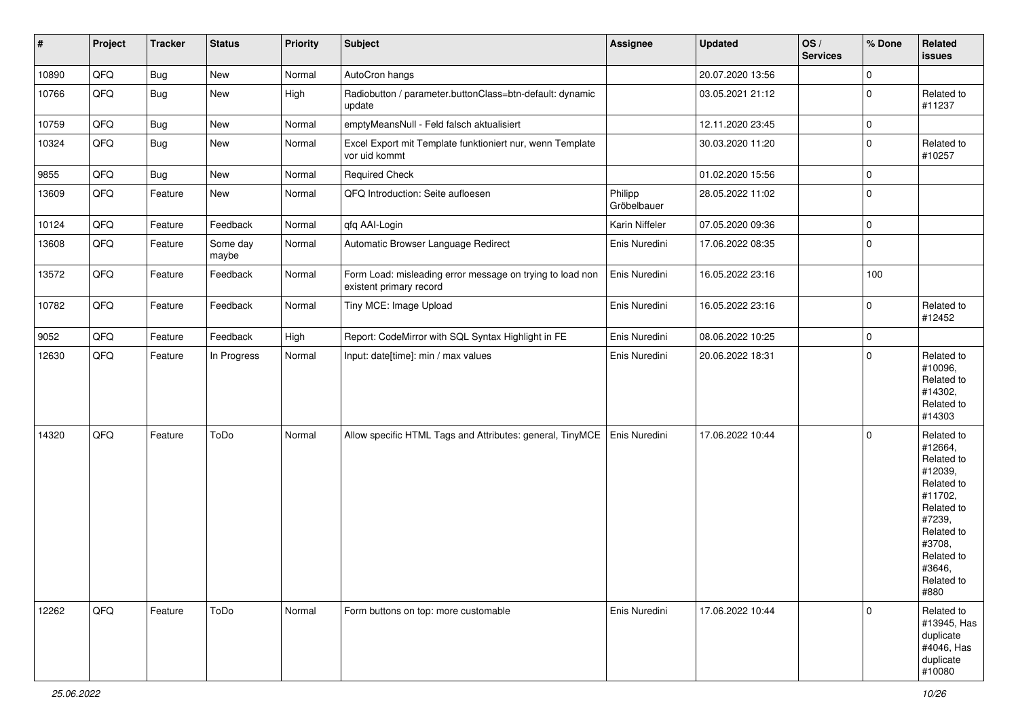| $\vert$ # | Project | <b>Tracker</b> | <b>Status</b>     | <b>Priority</b> | <b>Subject</b>                                                                       | <b>Assignee</b>        | <b>Updated</b>   | OS/<br><b>Services</b> | % Done      | Related<br><b>issues</b>                                                                                                                                              |
|-----------|---------|----------------|-------------------|-----------------|--------------------------------------------------------------------------------------|------------------------|------------------|------------------------|-------------|-----------------------------------------------------------------------------------------------------------------------------------------------------------------------|
| 10890     | QFQ     | <b>Bug</b>     | New               | Normal          | AutoCron hangs                                                                       |                        | 20.07.2020 13:56 |                        | $\mathbf 0$ |                                                                                                                                                                       |
| 10766     | QFQ     | Bug            | New               | High            | Radiobutton / parameter.buttonClass=btn-default: dynamic<br>update                   |                        | 03.05.2021 21:12 |                        | $\mathbf 0$ | Related to<br>#11237                                                                                                                                                  |
| 10759     | QFQ     | <b>Bug</b>     | New               | Normal          | emptyMeansNull - Feld falsch aktualisiert                                            |                        | 12.11.2020 23:45 |                        | $\mathbf 0$ |                                                                                                                                                                       |
| 10324     | QFQ     | <b>Bug</b>     | New               | Normal          | Excel Export mit Template funktioniert nur, wenn Template<br>vor uid kommt           |                        | 30.03.2020 11:20 |                        | $\mathbf 0$ | Related to<br>#10257                                                                                                                                                  |
| 9855      | QFQ     | Bug            | New               | Normal          | <b>Required Check</b>                                                                |                        | 01.02.2020 15:56 |                        | $\mathbf 0$ |                                                                                                                                                                       |
| 13609     | QFQ     | Feature        | New               | Normal          | QFQ Introduction: Seite aufloesen                                                    | Philipp<br>Gröbelbauer | 28.05.2022 11:02 |                        | $\pmb{0}$   |                                                                                                                                                                       |
| 10124     | QFQ     | Feature        | Feedback          | Normal          | qfq AAI-Login                                                                        | Karin Niffeler         | 07.05.2020 09:36 |                        | $\mathbf 0$ |                                                                                                                                                                       |
| 13608     | QFQ     | Feature        | Some day<br>maybe | Normal          | Automatic Browser Language Redirect                                                  | Enis Nuredini          | 17.06.2022 08:35 |                        | $\mathbf 0$ |                                                                                                                                                                       |
| 13572     | QFQ     | Feature        | Feedback          | Normal          | Form Load: misleading error message on trying to load non<br>existent primary record | Enis Nuredini          | 16.05.2022 23:16 |                        | 100         |                                                                                                                                                                       |
| 10782     | QFQ     | Feature        | Feedback          | Normal          | Tiny MCE: Image Upload                                                               | Enis Nuredini          | 16.05.2022 23:16 |                        | $\mathbf 0$ | Related to<br>#12452                                                                                                                                                  |
| 9052      | QFQ     | Feature        | Feedback          | High            | Report: CodeMirror with SQL Syntax Highlight in FE                                   | Enis Nuredini          | 08.06.2022 10:25 |                        | $\mathbf 0$ |                                                                                                                                                                       |
| 12630     | QFQ     | Feature        | In Progress       | Normal          | Input: date[time]: min / max values                                                  | Enis Nuredini          | 20.06.2022 18:31 |                        | $\mathbf 0$ | Related to<br>#10096,<br>Related to<br>#14302,<br>Related to<br>#14303                                                                                                |
| 14320     | QFQ     | Feature        | ToDo              | Normal          | Allow specific HTML Tags and Attributes: general, TinyMCE                            | Enis Nuredini          | 17.06.2022 10:44 |                        | $\mathbf 0$ | Related to<br>#12664,<br>Related to<br>#12039,<br>Related to<br>#11702,<br>Related to<br>#7239,<br>Related to<br>#3708,<br>Related to<br>#3646,<br>Related to<br>#880 |
| 12262     | QFQ     | Feature        | ToDo              | Normal          | Form buttons on top: more customable                                                 | Enis Nuredini          | 17.06.2022 10:44 |                        | $\mathbf 0$ | Related to<br>#13945, Has<br>duplicate<br>#4046, Has<br>duplicate<br>#10080                                                                                           |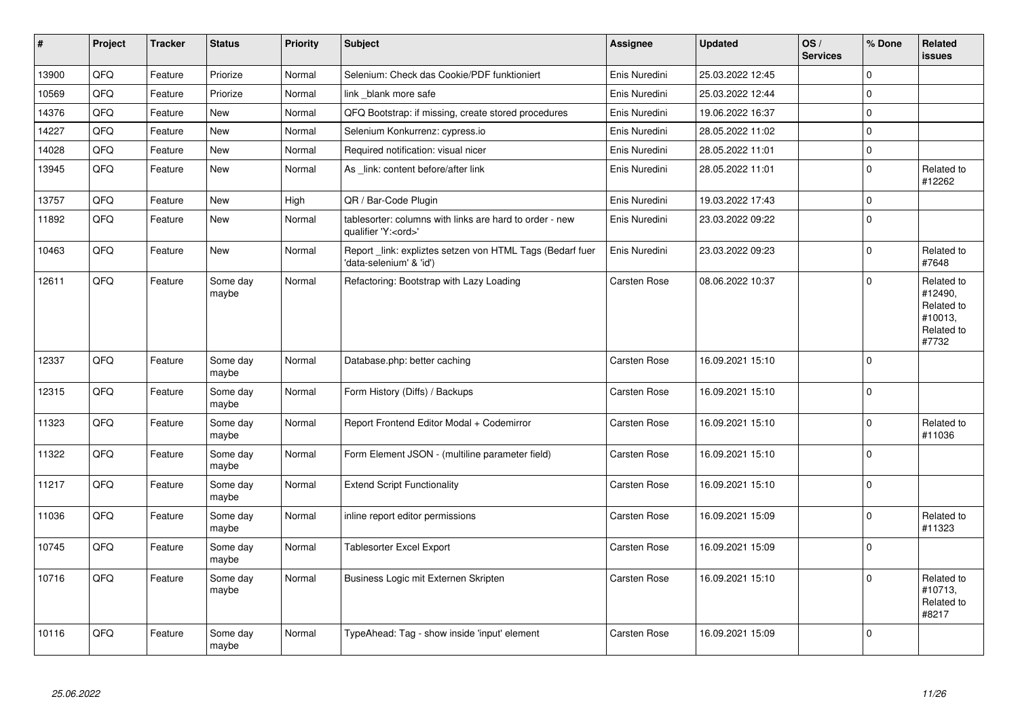| $\vert$ # | <b>Project</b> | <b>Tracker</b> | <b>Status</b>     | <b>Priority</b> | <b>Subject</b>                                                                        | Assignee            | <b>Updated</b>   | OS/<br><b>Services</b> | % Done      | Related<br>issues                                                     |
|-----------|----------------|----------------|-------------------|-----------------|---------------------------------------------------------------------------------------|---------------------|------------------|------------------------|-------------|-----------------------------------------------------------------------|
| 13900     | QFQ            | Feature        | Priorize          | Normal          | Selenium: Check das Cookie/PDF funktioniert                                           | Enis Nuredini       | 25.03.2022 12:45 |                        | 0           |                                                                       |
| 10569     | QFQ            | Feature        | Priorize          | Normal          | link blank more safe                                                                  | Enis Nuredini       | 25.03.2022 12:44 |                        | $\pmb{0}$   |                                                                       |
| 14376     | QFQ            | Feature        | <b>New</b>        | Normal          | QFQ Bootstrap: if missing, create stored procedures                                   | Enis Nuredini       | 19.06.2022 16:37 |                        | $\mathbf 0$ |                                                                       |
| 14227     | QFQ            | Feature        | <b>New</b>        | Normal          | Selenium Konkurrenz: cypress.io                                                       | Enis Nuredini       | 28.05.2022 11:02 |                        | $\mathbf 0$ |                                                                       |
| 14028     | QFQ            | Feature        | <b>New</b>        | Normal          | Required notification: visual nicer                                                   | Enis Nuredini       | 28.05.2022 11:01 |                        | $\pmb{0}$   |                                                                       |
| 13945     | QFG            | Feature        | <b>New</b>        | Normal          | As _link: content before/after link                                                   | Enis Nuredini       | 28.05.2022 11:01 |                        | $\pmb{0}$   | Related to<br>#12262                                                  |
| 13757     | QFQ            | Feature        | New               | High            | QR / Bar-Code Plugin                                                                  | Enis Nuredini       | 19.03.2022 17:43 |                        | $\pmb{0}$   |                                                                       |
| 11892     | QFQ            | Feature        | <b>New</b>        | Normal          | tablesorter: columns with links are hard to order - new<br>qualifier 'Y: <ord>'</ord> | Enis Nuredini       | 23.03.2022 09:22 |                        | $\pmb{0}$   |                                                                       |
| 10463     | QFQ            | Feature        | <b>New</b>        | Normal          | Report _link: expliztes setzen von HTML Tags (Bedarf fuer<br>data-selenium' & 'id')   | Enis Nuredini       | 23.03.2022 09:23 |                        | $\pmb{0}$   | Related to<br>#7648                                                   |
| 12611     | QFQ            | Feature        | Some day<br>maybe | Normal          | Refactoring: Bootstrap with Lazy Loading                                              | <b>Carsten Rose</b> | 08.06.2022 10:37 |                        | $\mathbf 0$ | Related to<br>#12490,<br>Related to<br>#10013,<br>Related to<br>#7732 |
| 12337     | QFQ            | Feature        | Some day<br>maybe | Normal          | Database.php: better caching                                                          | Carsten Rose        | 16.09.2021 15:10 |                        | $\mathbf 0$ |                                                                       |
| 12315     | QFQ            | Feature        | Some day<br>maybe | Normal          | Form History (Diffs) / Backups                                                        | Carsten Rose        | 16.09.2021 15:10 |                        | $\mathbf 0$ |                                                                       |
| 11323     | QFQ            | Feature        | Some day<br>maybe | Normal          | Report Frontend Editor Modal + Codemirror                                             | Carsten Rose        | 16.09.2021 15:10 |                        | $\pmb{0}$   | Related to<br>#11036                                                  |
| 11322     | QFQ            | Feature        | Some day<br>maybe | Normal          | Form Element JSON - (multiline parameter field)                                       | Carsten Rose        | 16.09.2021 15:10 |                        | $\pmb{0}$   |                                                                       |
| 11217     | QFQ            | Feature        | Some day<br>maybe | Normal          | <b>Extend Script Functionality</b>                                                    | Carsten Rose        | 16.09.2021 15:10 |                        | $\mathbf 0$ |                                                                       |
| 11036     | QFQ            | Feature        | Some day<br>maybe | Normal          | inline report editor permissions                                                      | Carsten Rose        | 16.09.2021 15:09 |                        | $\pmb{0}$   | Related to<br>#11323                                                  |
| 10745     | QFQ            | Feature        | Some day<br>maybe | Normal          | <b>Tablesorter Excel Export</b>                                                       | Carsten Rose        | 16.09.2021 15:09 |                        | $\pmb{0}$   |                                                                       |
| 10716     | QFQ            | Feature        | Some day<br>maybe | Normal          | Business Logic mit Externen Skripten                                                  | <b>Carsten Rose</b> | 16.09.2021 15:10 |                        | $\mathbf 0$ | Related to<br>#10713,<br>Related to<br>#8217                          |
| 10116     | QFQ            | Feature        | Some day<br>maybe | Normal          | TypeAhead: Tag - show inside 'input' element                                          | <b>Carsten Rose</b> | 16.09.2021 15:09 |                        | $\pmb{0}$   |                                                                       |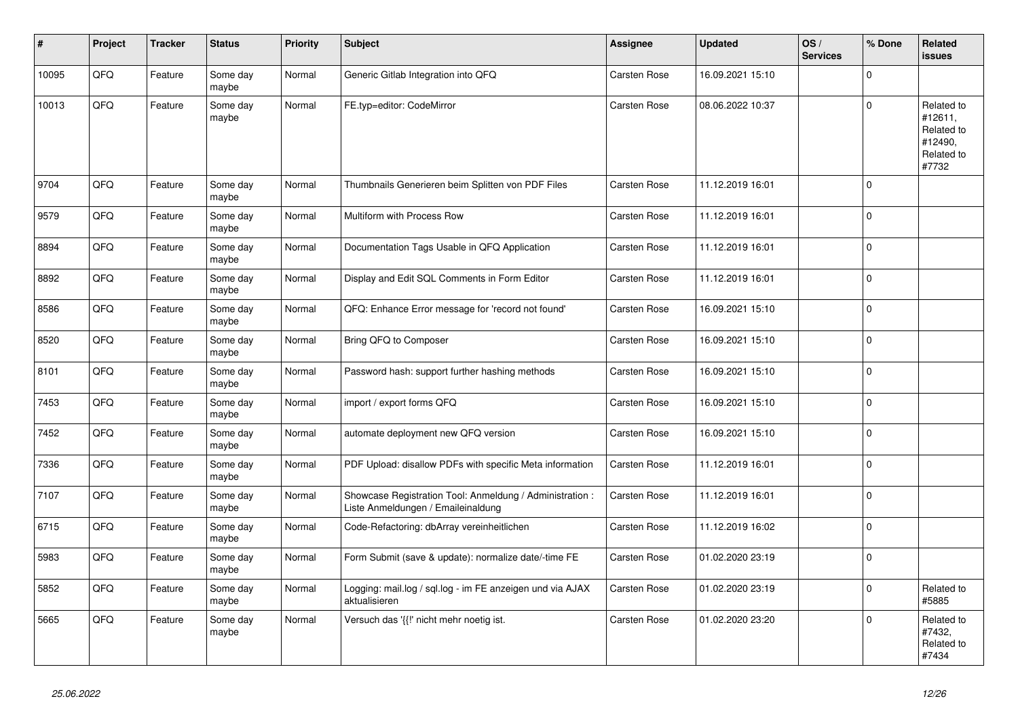| ∦     | Project | <b>Tracker</b> | <b>Status</b>     | <b>Priority</b> | <b>Subject</b>                                                                                 | Assignee            | <b>Updated</b>   | OS/<br><b>Services</b> | % Done      | <b>Related</b><br><b>issues</b>                                       |
|-------|---------|----------------|-------------------|-----------------|------------------------------------------------------------------------------------------------|---------------------|------------------|------------------------|-------------|-----------------------------------------------------------------------|
| 10095 | QFQ     | Feature        | Some day<br>maybe | Normal          | Generic Gitlab Integration into QFQ                                                            | Carsten Rose        | 16.09.2021 15:10 |                        | $\Omega$    |                                                                       |
| 10013 | QFQ     | Feature        | Some day<br>maybe | Normal          | FE.typ=editor: CodeMirror                                                                      | Carsten Rose        | 08.06.2022 10:37 |                        | $\Omega$    | Related to<br>#12611,<br>Related to<br>#12490,<br>Related to<br>#7732 |
| 9704  | QFQ     | Feature        | Some day<br>maybe | Normal          | Thumbnails Generieren beim Splitten von PDF Files                                              | <b>Carsten Rose</b> | 11.12.2019 16:01 |                        | $\Omega$    |                                                                       |
| 9579  | QFQ     | Feature        | Some day<br>maybe | Normal          | Multiform with Process Row                                                                     | Carsten Rose        | 11.12.2019 16:01 |                        | $\Omega$    |                                                                       |
| 8894  | QFQ     | Feature        | Some day<br>maybe | Normal          | Documentation Tags Usable in QFQ Application                                                   | Carsten Rose        | 11.12.2019 16:01 |                        | $\Omega$    |                                                                       |
| 8892  | QFQ     | Feature        | Some day<br>maybe | Normal          | Display and Edit SQL Comments in Form Editor                                                   | Carsten Rose        | 11.12.2019 16:01 |                        | $\mathbf 0$ |                                                                       |
| 8586  | QFQ     | Feature        | Some day<br>maybe | Normal          | QFQ: Enhance Error message for 'record not found'                                              | Carsten Rose        | 16.09.2021 15:10 |                        | $\Omega$    |                                                                       |
| 8520  | QFO     | Feature        | Some day<br>maybe | Normal          | Bring QFQ to Composer                                                                          | Carsten Rose        | 16.09.2021 15:10 |                        | $\mathbf 0$ |                                                                       |
| 8101  | QFQ     | Feature        | Some day<br>maybe | Normal          | Password hash: support further hashing methods                                                 | Carsten Rose        | 16.09.2021 15:10 |                        | $\Omega$    |                                                                       |
| 7453  | QFQ     | Feature        | Some day<br>maybe | Normal          | import / export forms QFQ                                                                      | Carsten Rose        | 16.09.2021 15:10 |                        | $\mathbf 0$ |                                                                       |
| 7452  | QFQ     | Feature        | Some day<br>maybe | Normal          | automate deployment new QFQ version                                                            | Carsten Rose        | 16.09.2021 15:10 |                        | $\mathbf 0$ |                                                                       |
| 7336  | QFQ     | Feature        | Some day<br>maybe | Normal          | PDF Upload: disallow PDFs with specific Meta information                                       | <b>Carsten Rose</b> | 11.12.2019 16:01 |                        | $\Omega$    |                                                                       |
| 7107  | QFQ     | Feature        | Some day<br>maybe | Normal          | Showcase Registration Tool: Anmeldung / Administration :<br>Liste Anmeldungen / Emaileinaldung | Carsten Rose        | 11.12.2019 16:01 |                        | $\mathbf 0$ |                                                                       |
| 6715  | QFQ     | Feature        | Some day<br>maybe | Normal          | Code-Refactoring: dbArray vereinheitlichen                                                     | Carsten Rose        | 11.12.2019 16:02 |                        | $\mathbf 0$ |                                                                       |
| 5983  | QFQ     | Feature        | Some day<br>maybe | Normal          | Form Submit (save & update): normalize date/-time FE                                           | Carsten Rose        | 01.02.2020 23:19 |                        | $\Omega$    |                                                                       |
| 5852  | QFQ     | Feature        | Some day<br>maybe | Normal          | Logging: mail.log / sql.log - im FE anzeigen und via AJAX<br>aktualisieren                     | Carsten Rose        | 01.02.2020 23:19 |                        | $\Omega$    | Related to<br>#5885                                                   |
| 5665  | QFQ     | Feature        | Some day<br>maybe | Normal          | Versuch das '{{!' nicht mehr noetig ist.                                                       | Carsten Rose        | 01.02.2020 23:20 |                        | $\Omega$    | Related to<br>#7432,<br>Related to<br>#7434                           |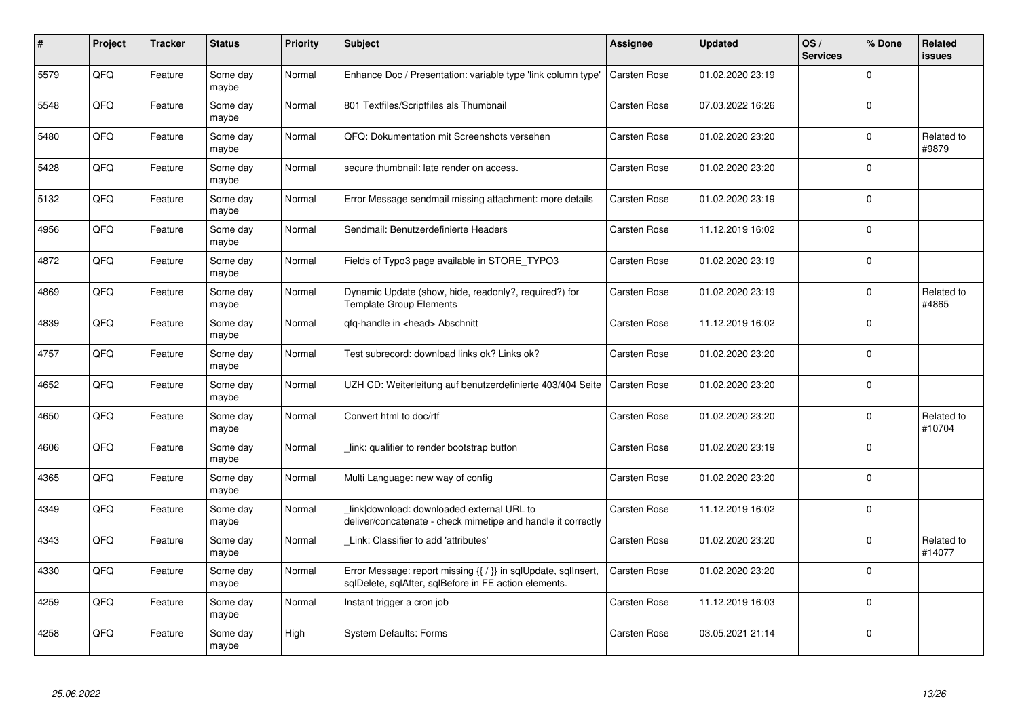| #    | Project | <b>Tracker</b> | <b>Status</b>     | <b>Priority</b> | <b>Subject</b>                                                                                                          | <b>Assignee</b>     | <b>Updated</b>   | OS/<br><b>Services</b> | % Done      | Related<br><b>issues</b> |
|------|---------|----------------|-------------------|-----------------|-------------------------------------------------------------------------------------------------------------------------|---------------------|------------------|------------------------|-------------|--------------------------|
| 5579 | QFQ     | Feature        | Some day<br>maybe | Normal          | Enhance Doc / Presentation: variable type 'link column type'                                                            | Carsten Rose        | 01.02.2020 23:19 |                        | $\mathbf 0$ |                          |
| 5548 | QFQ     | Feature        | Some day<br>maybe | Normal          | 801 Textfiles/Scriptfiles als Thumbnail                                                                                 | Carsten Rose        | 07.03.2022 16:26 |                        | $\mathbf 0$ |                          |
| 5480 | QFQ     | Feature        | Some day<br>maybe | Normal          | QFQ: Dokumentation mit Screenshots versehen                                                                             | Carsten Rose        | 01.02.2020 23:20 |                        | $\mathbf 0$ | Related to<br>#9879      |
| 5428 | QFQ     | Feature        | Some day<br>maybe | Normal          | secure thumbnail: late render on access.                                                                                | Carsten Rose        | 01.02.2020 23:20 |                        | $\mathbf 0$ |                          |
| 5132 | QFQ     | Feature        | Some day<br>maybe | Normal          | Error Message sendmail missing attachment: more details                                                                 | Carsten Rose        | 01.02.2020 23:19 |                        | $\mathbf 0$ |                          |
| 4956 | QFQ     | Feature        | Some day<br>maybe | Normal          | Sendmail: Benutzerdefinierte Headers                                                                                    | Carsten Rose        | 11.12.2019 16:02 |                        | $\pmb{0}$   |                          |
| 4872 | QFQ     | Feature        | Some day<br>maybe | Normal          | Fields of Typo3 page available in STORE_TYPO3                                                                           | Carsten Rose        | 01.02.2020 23:19 |                        | $\mathbf 0$ |                          |
| 4869 | QFQ     | Feature        | Some day<br>maybe | Normal          | Dynamic Update (show, hide, readonly?, required?) for<br><b>Template Group Elements</b>                                 | Carsten Rose        | 01.02.2020 23:19 |                        | $\mathbf 0$ | Related to<br>#4865      |
| 4839 | QFQ     | Feature        | Some day<br>maybe | Normal          | qfq-handle in <head> Abschnitt</head>                                                                                   | Carsten Rose        | 11.12.2019 16:02 |                        | $\pmb{0}$   |                          |
| 4757 | QFQ     | Feature        | Some day<br>maybe | Normal          | Test subrecord: download links ok? Links ok?                                                                            | Carsten Rose        | 01.02.2020 23:20 |                        | $\mathbf 0$ |                          |
| 4652 | QFQ     | Feature        | Some day<br>maybe | Normal          | UZH CD: Weiterleitung auf benutzerdefinierte 403/404 Seite                                                              | Carsten Rose        | 01.02.2020 23:20 |                        | $\mathbf 0$ |                          |
| 4650 | QFQ     | Feature        | Some day<br>maybe | Normal          | Convert html to doc/rtf                                                                                                 | Carsten Rose        | 01.02.2020 23:20 |                        | $\mathbf 0$ | Related to<br>#10704     |
| 4606 | QFQ     | Feature        | Some day<br>maybe | Normal          | link: qualifier to render bootstrap button                                                                              | Carsten Rose        | 01.02.2020 23:19 |                        | $\mathbf 0$ |                          |
| 4365 | QFQ     | Feature        | Some day<br>maybe | Normal          | Multi Language: new way of config                                                                                       | Carsten Rose        | 01.02.2020 23:20 |                        | $\mathbf 0$ |                          |
| 4349 | QFQ     | Feature        | Some day<br>maybe | Normal          | link download: downloaded external URL to<br>deliver/concatenate - check mimetipe and handle it correctly               | Carsten Rose        | 11.12.2019 16:02 |                        | $\pmb{0}$   |                          |
| 4343 | QFQ     | Feature        | Some day<br>maybe | Normal          | Link: Classifier to add 'attributes'                                                                                    | Carsten Rose        | 01.02.2020 23:20 |                        | $\mathbf 0$ | Related to<br>#14077     |
| 4330 | QFQ     | Feature        | Some day<br>maybe | Normal          | Error Message: report missing {{ / }} in sqlUpdate, sqlInsert,<br>sqlDelete, sqlAfter, sqlBefore in FE action elements. | Carsten Rose        | 01.02.2020 23:20 |                        | $\mathbf 0$ |                          |
| 4259 | QFG     | Feature        | Some day<br>maybe | Normal          | Instant trigger a cron job                                                                                              | Carsten Rose        | 11.12.2019 16:03 |                        | $\pmb{0}$   |                          |
| 4258 | QFQ     | Feature        | Some day<br>maybe | High            | System Defaults: Forms                                                                                                  | <b>Carsten Rose</b> | 03.05.2021 21:14 |                        | $\Omega$    |                          |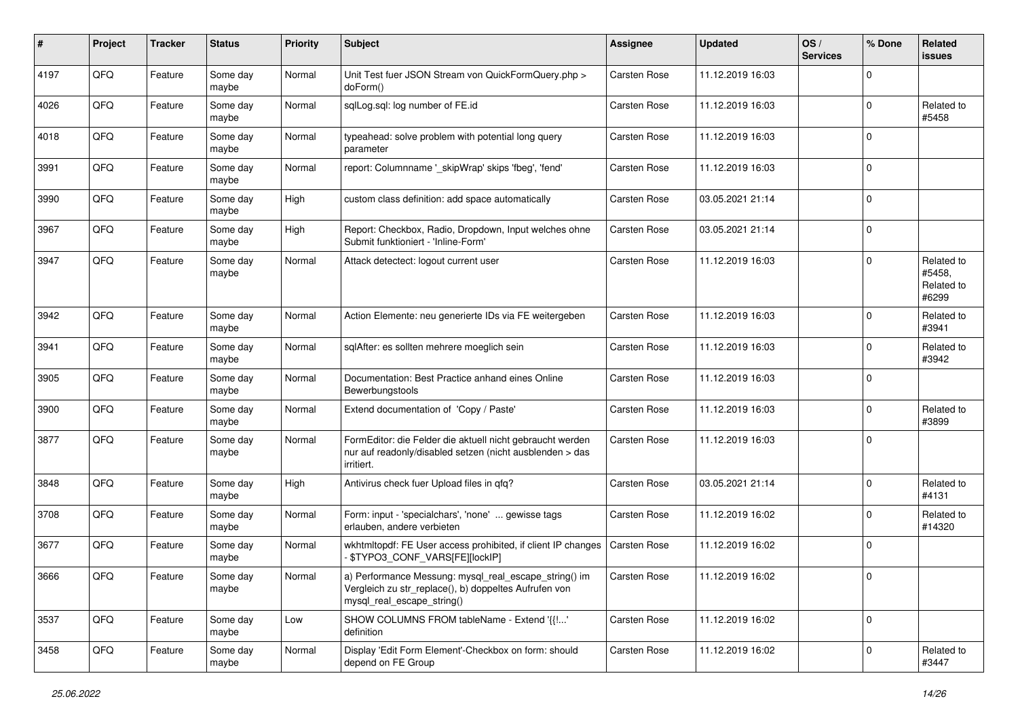| $\#$ | Project | <b>Tracker</b> | <b>Status</b>     | <b>Priority</b> | <b>Subject</b>                                                                                                                               | <b>Assignee</b>     | <b>Updated</b>   | OS/<br><b>Services</b> | % Done       | <b>Related</b><br><b>issues</b>             |
|------|---------|----------------|-------------------|-----------------|----------------------------------------------------------------------------------------------------------------------------------------------|---------------------|------------------|------------------------|--------------|---------------------------------------------|
| 4197 | QFQ     | Feature        | Some day<br>maybe | Normal          | Unit Test fuer JSON Stream von QuickFormQuery.php ><br>doForm()                                                                              | Carsten Rose        | 11.12.2019 16:03 |                        | $\Omega$     |                                             |
| 4026 | QFQ     | Feature        | Some day<br>maybe | Normal          | sqlLog.sql: log number of FE.id                                                                                                              | Carsten Rose        | 11.12.2019 16:03 |                        | $\mathbf 0$  | Related to<br>#5458                         |
| 4018 | QFQ     | Feature        | Some day<br>maybe | Normal          | typeahead: solve problem with potential long query<br>parameter                                                                              | <b>Carsten Rose</b> | 11.12.2019 16:03 |                        | $\mathbf 0$  |                                             |
| 3991 | QFQ     | Feature        | Some day<br>maybe | Normal          | report: Columnname '_skipWrap' skips 'fbeg', 'fend'                                                                                          | Carsten Rose        | 11.12.2019 16:03 |                        | $\mathbf 0$  |                                             |
| 3990 | QFQ     | Feature        | Some day<br>maybe | High            | custom class definition: add space automatically                                                                                             | Carsten Rose        | 03.05.2021 21:14 |                        | $\mathbf 0$  |                                             |
| 3967 | QFQ     | Feature        | Some day<br>maybe | High            | Report: Checkbox, Radio, Dropdown, Input welches ohne<br>Submit funktioniert - 'Inline-Form'                                                 | Carsten Rose        | 03.05.2021 21:14 |                        | $\mathbf 0$  |                                             |
| 3947 | QFQ     | Feature        | Some day<br>maybe | Normal          | Attack detectect: logout current user                                                                                                        | Carsten Rose        | 11.12.2019 16:03 |                        | $\mathbf 0$  | Related to<br>#5458,<br>Related to<br>#6299 |
| 3942 | QFQ     | Feature        | Some day<br>maybe | Normal          | Action Elemente: neu generierte IDs via FE weitergeben                                                                                       | <b>Carsten Rose</b> | 11.12.2019 16:03 |                        | $\mathbf 0$  | Related to<br>#3941                         |
| 3941 | QFQ     | Feature        | Some day<br>maybe | Normal          | sqlAfter: es sollten mehrere moeglich sein                                                                                                   | Carsten Rose        | 11.12.2019 16:03 |                        | $\mathbf 0$  | Related to<br>#3942                         |
| 3905 | QFQ     | Feature        | Some day<br>maybe | Normal          | Documentation: Best Practice anhand eines Online<br>Bewerbungstools                                                                          | Carsten Rose        | 11.12.2019 16:03 |                        | $\mathbf 0$  |                                             |
| 3900 | QFQ     | Feature        | Some day<br>maybe | Normal          | Extend documentation of 'Copy / Paste'                                                                                                       | Carsten Rose        | 11.12.2019 16:03 |                        | $\mathbf 0$  | Related to<br>#3899                         |
| 3877 | QFQ     | Feature        | Some day<br>maybe | Normal          | FormEditor: die Felder die aktuell nicht gebraucht werden<br>nur auf readonly/disabled setzen (nicht ausblenden > das<br>irritiert.          | Carsten Rose        | 11.12.2019 16:03 |                        | $\mathbf 0$  |                                             |
| 3848 | QFQ     | Feature        | Some day<br>maybe | High            | Antivirus check fuer Upload files in qfq?                                                                                                    | Carsten Rose        | 03.05.2021 21:14 |                        | $\mathbf 0$  | Related to<br>#4131                         |
| 3708 | QFQ     | Feature        | Some day<br>maybe | Normal          | Form: input - 'specialchars', 'none'  gewisse tags<br>erlauben, andere verbieten                                                             | <b>Carsten Rose</b> | 11.12.2019 16:02 |                        | $\mathbf 0$  | Related to<br>#14320                        |
| 3677 | QFQ     | Feature        | Some day<br>maybe | Normal          | wkhtmltopdf: FE User access prohibited, if client IP changes<br><b>\$TYPO3 CONF VARS[FE][lockIP]</b>                                         | Carsten Rose        | 11.12.2019 16:02 |                        | $\mathbf 0$  |                                             |
| 3666 | QFQ     | Feature        | Some day<br>maybe | Normal          | a) Performance Messung: mysql_real_escape_string() im<br>Vergleich zu str_replace(), b) doppeltes Aufrufen von<br>mysql real escape string() | Carsten Rose        | 11.12.2019 16:02 |                        | $\pmb{0}$    |                                             |
| 3537 | QFQ     | Feature        | Some day<br>maybe | Low             | SHOW COLUMNS FROM tableName - Extend '{{!'<br>definition                                                                                     | Carsten Rose        | 11.12.2019 16:02 |                        | $\mathbf{0}$ |                                             |
| 3458 | QFQ     | Feature        | Some day<br>maybe | Normal          | Display 'Edit Form Element'-Checkbox on form: should<br>depend on FE Group                                                                   | Carsten Rose        | 11.12.2019 16:02 |                        | $\mathbf 0$  | Related to<br>#3447                         |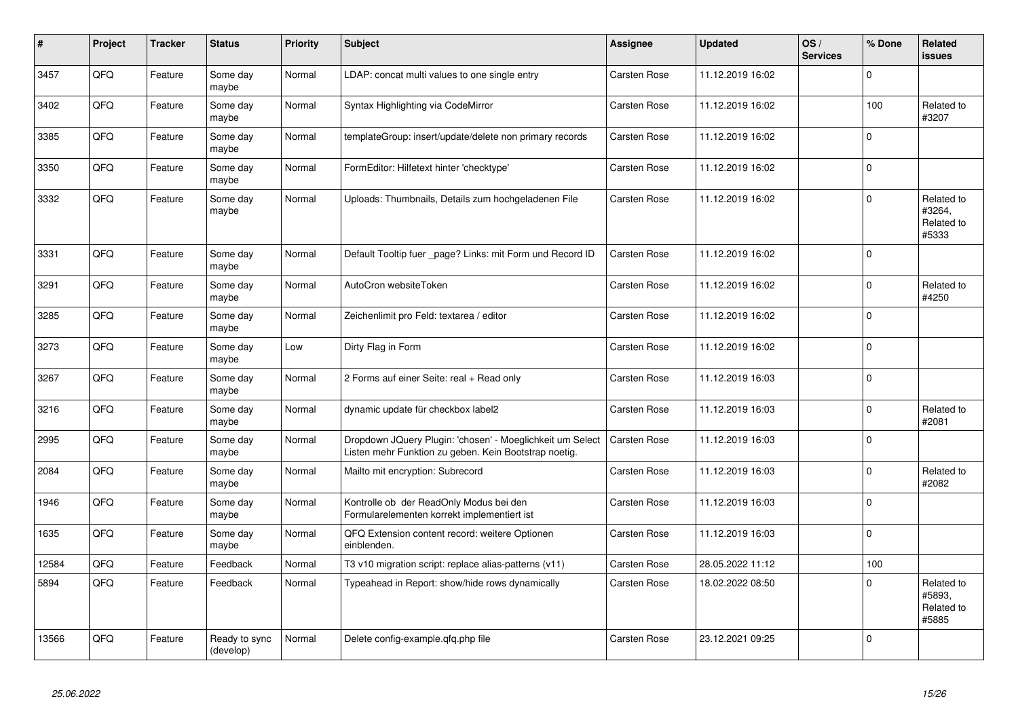| #     | Project | <b>Tracker</b> | <b>Status</b>              | <b>Priority</b> | <b>Subject</b>                                                                                                     | <b>Assignee</b>     | <b>Updated</b>   | OS/<br><b>Services</b> | % Done      | Related<br><b>issues</b>                    |
|-------|---------|----------------|----------------------------|-----------------|--------------------------------------------------------------------------------------------------------------------|---------------------|------------------|------------------------|-------------|---------------------------------------------|
| 3457  | QFQ     | Feature        | Some day<br>maybe          | Normal          | LDAP: concat multi values to one single entry                                                                      | Carsten Rose        | 11.12.2019 16:02 |                        | $\mathbf 0$ |                                             |
| 3402  | QFQ     | Feature        | Some day<br>maybe          | Normal          | Syntax Highlighting via CodeMirror                                                                                 | Carsten Rose        | 11.12.2019 16:02 |                        | 100         | Related to<br>#3207                         |
| 3385  | QFQ     | Feature        | Some day<br>maybe          | Normal          | templateGroup: insert/update/delete non primary records                                                            | Carsten Rose        | 11.12.2019 16:02 |                        | $\mathbf 0$ |                                             |
| 3350  | QFQ     | Feature        | Some day<br>maybe          | Normal          | FormEditor: Hilfetext hinter 'checktype'                                                                           | Carsten Rose        | 11.12.2019 16:02 |                        | $\mathbf 0$ |                                             |
| 3332  | QFQ     | Feature        | Some day<br>maybe          | Normal          | Uploads: Thumbnails, Details zum hochgeladenen File                                                                | <b>Carsten Rose</b> | 11.12.2019 16:02 |                        | $\mathbf 0$ | Related to<br>#3264,<br>Related to<br>#5333 |
| 3331  | QFQ     | Feature        | Some day<br>maybe          | Normal          | Default Tooltip fuer _page? Links: mit Form und Record ID                                                          | <b>Carsten Rose</b> | 11.12.2019 16:02 |                        | $\mathbf 0$ |                                             |
| 3291  | QFQ     | Feature        | Some day<br>maybe          | Normal          | AutoCron websiteToken                                                                                              | Carsten Rose        | 11.12.2019 16:02 |                        | $\mathbf 0$ | Related to<br>#4250                         |
| 3285  | QFQ     | Feature        | Some day<br>maybe          | Normal          | Zeichenlimit pro Feld: textarea / editor                                                                           | Carsten Rose        | 11.12.2019 16:02 |                        | $\mathbf 0$ |                                             |
| 3273  | QFQ     | Feature        | Some day<br>maybe          | Low             | Dirty Flag in Form                                                                                                 | <b>Carsten Rose</b> | 11.12.2019 16:02 |                        | $\pmb{0}$   |                                             |
| 3267  | QFQ     | Feature        | Some day<br>maybe          | Normal          | 2 Forms auf einer Seite: real + Read only                                                                          | Carsten Rose        | 11.12.2019 16:03 |                        | $\mathbf 0$ |                                             |
| 3216  | QFQ     | Feature        | Some day<br>maybe          | Normal          | dynamic update für checkbox label2                                                                                 | Carsten Rose        | 11.12.2019 16:03 |                        | $\mathbf 0$ | Related to<br>#2081                         |
| 2995  | QFQ     | Feature        | Some day<br>maybe          | Normal          | Dropdown JQuery Plugin: 'chosen' - Moeglichkeit um Select<br>Listen mehr Funktion zu geben. Kein Bootstrap noetig. | Carsten Rose        | 11.12.2019 16:03 |                        | $\mathbf 0$ |                                             |
| 2084  | QFQ     | Feature        | Some day<br>maybe          | Normal          | Mailto mit encryption: Subrecord                                                                                   | Carsten Rose        | 11.12.2019 16:03 |                        | $\mathbf 0$ | Related to<br>#2082                         |
| 1946  | QFQ     | Feature        | Some day<br>maybe          | Normal          | Kontrolle ob der ReadOnly Modus bei den<br>Formularelementen korrekt implementiert ist                             | Carsten Rose        | 11.12.2019 16:03 |                        | $\mathbf 0$ |                                             |
| 1635  | QFQ     | Feature        | Some day<br>maybe          | Normal          | QFQ Extension content record: weitere Optionen<br>einblenden.                                                      | <b>Carsten Rose</b> | 11.12.2019 16:03 |                        | $\pmb{0}$   |                                             |
| 12584 | QFQ     | Feature        | Feedback                   | Normal          | T3 v10 migration script: replace alias-patterns (v11)                                                              | Carsten Rose        | 28.05.2022 11:12 |                        | 100         |                                             |
| 5894  | QFQ     | Feature        | Feedback                   | Normal          | Typeahead in Report: show/hide rows dynamically                                                                    | Carsten Rose        | 18.02.2022 08:50 |                        | $\mathbf 0$ | Related to<br>#5893,<br>Related to<br>#5885 |
| 13566 | QFQ     | Feature        | Ready to sync<br>(develop) | Normal          | Delete config-example.qfq.php file                                                                                 | <b>Carsten Rose</b> | 23.12.2021 09:25 |                        | $\mathbf 0$ |                                             |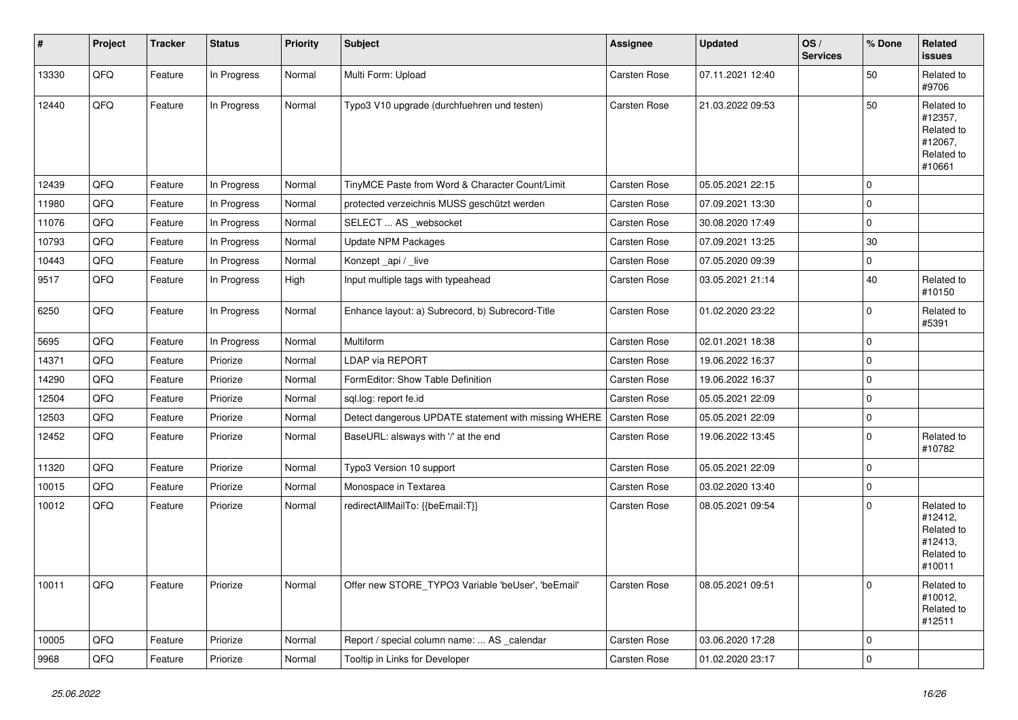| #     | Project | <b>Tracker</b> | <b>Status</b> | <b>Priority</b> | <b>Subject</b>                                       | Assignee            | <b>Updated</b>   | OS/<br><b>Services</b> | % Done      | Related<br><b>issues</b>                                               |
|-------|---------|----------------|---------------|-----------------|------------------------------------------------------|---------------------|------------------|------------------------|-------------|------------------------------------------------------------------------|
| 13330 | QFQ     | Feature        | In Progress   | Normal          | Multi Form: Upload                                   | Carsten Rose        | 07.11.2021 12:40 |                        | 50          | Related to<br>#9706                                                    |
| 12440 | QFQ     | Feature        | In Progress   | Normal          | Typo3 V10 upgrade (durchfuehren und testen)          | Carsten Rose        | 21.03.2022 09:53 |                        | 50          | Related to<br>#12357,<br>Related to<br>#12067,<br>Related to<br>#10661 |
| 12439 | QFQ     | Feature        | In Progress   | Normal          | TinyMCE Paste from Word & Character Count/Limit      | Carsten Rose        | 05.05.2021 22:15 |                        | $\mathbf 0$ |                                                                        |
| 11980 | QFQ     | Feature        | In Progress   | Normal          | protected verzeichnis MUSS geschützt werden          | Carsten Rose        | 07.09.2021 13:30 |                        | $\mathbf 0$ |                                                                        |
| 11076 | QFQ     | Feature        | In Progress   | Normal          | SELECT  AS _websocket                                | Carsten Rose        | 30.08.2020 17:49 |                        | $\mathbf 0$ |                                                                        |
| 10793 | QFQ     | Feature        | In Progress   | Normal          | <b>Update NPM Packages</b>                           | Carsten Rose        | 07.09.2021 13:25 |                        | 30          |                                                                        |
| 10443 | QFQ     | Feature        | In Progress   | Normal          | Konzept_api / _live                                  | Carsten Rose        | 07.05.2020 09:39 |                        | $\mathbf 0$ |                                                                        |
| 9517  | QFQ     | Feature        | In Progress   | High            | Input multiple tags with typeahead                   | Carsten Rose        | 03.05.2021 21:14 |                        | 40          | Related to<br>#10150                                                   |
| 6250  | QFQ     | Feature        | In Progress   | Normal          | Enhance layout: a) Subrecord, b) Subrecord-Title     | Carsten Rose        | 01.02.2020 23:22 |                        | $\mathbf 0$ | Related to<br>#5391                                                    |
| 5695  | QFQ     | Feature        | In Progress   | Normal          | Multiform                                            | Carsten Rose        | 02.01.2021 18:38 |                        | $\mathbf 0$ |                                                                        |
| 14371 | QFQ     | Feature        | Priorize      | Normal          | LDAP via REPORT                                      | Carsten Rose        | 19.06.2022 16:37 |                        | $\mathbf 0$ |                                                                        |
| 14290 | QFQ     | Feature        | Priorize      | Normal          | FormEditor: Show Table Definition                    | Carsten Rose        | 19.06.2022 16:37 |                        | $\mathbf 0$ |                                                                        |
| 12504 | QFQ     | Feature        | Priorize      | Normal          | sgl.log: report fe.id                                | Carsten Rose        | 05.05.2021 22:09 |                        | $\mathbf 0$ |                                                                        |
| 12503 | QFQ     | Feature        | Priorize      | Normal          | Detect dangerous UPDATE statement with missing WHERE | <b>Carsten Rose</b> | 05.05.2021 22:09 |                        | $\mathbf 0$ |                                                                        |
| 12452 | QFQ     | Feature        | Priorize      | Normal          | BaseURL: alsways with '/' at the end                 | Carsten Rose        | 19.06.2022 13:45 |                        | $\mathbf 0$ | Related to<br>#10782                                                   |
| 11320 | QFQ     | Feature        | Priorize      | Normal          | Typo3 Version 10 support                             | Carsten Rose        | 05.05.2021 22:09 |                        | $\mathbf 0$ |                                                                        |
| 10015 | QFQ     | Feature        | Priorize      | Normal          | Monospace in Textarea                                | Carsten Rose        | 03.02.2020 13:40 |                        | $\pmb{0}$   |                                                                        |
| 10012 | QFQ     | Feature        | Priorize      | Normal          | redirectAllMailTo: {{beEmail:T}}                     | Carsten Rose        | 08.05.2021 09:54 |                        | $\mathbf 0$ | Related to<br>#12412,<br>Related to<br>#12413,<br>Related to<br>#10011 |
| 10011 | QFQ     | Feature        | Priorize      | Normal          | Offer new STORE_TYPO3 Variable 'beUser', 'beEmail'   | Carsten Rose        | 08.05.2021 09:51 |                        | $\mathbf 0$ | Related to<br>#10012,<br>Related to<br>#12511                          |
| 10005 | QFQ     | Feature        | Priorize      | Normal          | Report / special column name:  AS calendar           | <b>Carsten Rose</b> | 03.06.2020 17:28 |                        | $\mathbf 0$ |                                                                        |
| 9968  | QFQ     | Feature        | Priorize      | Normal          | Tooltip in Links for Developer                       | Carsten Rose        | 01.02.2020 23:17 |                        | $\mathbf 0$ |                                                                        |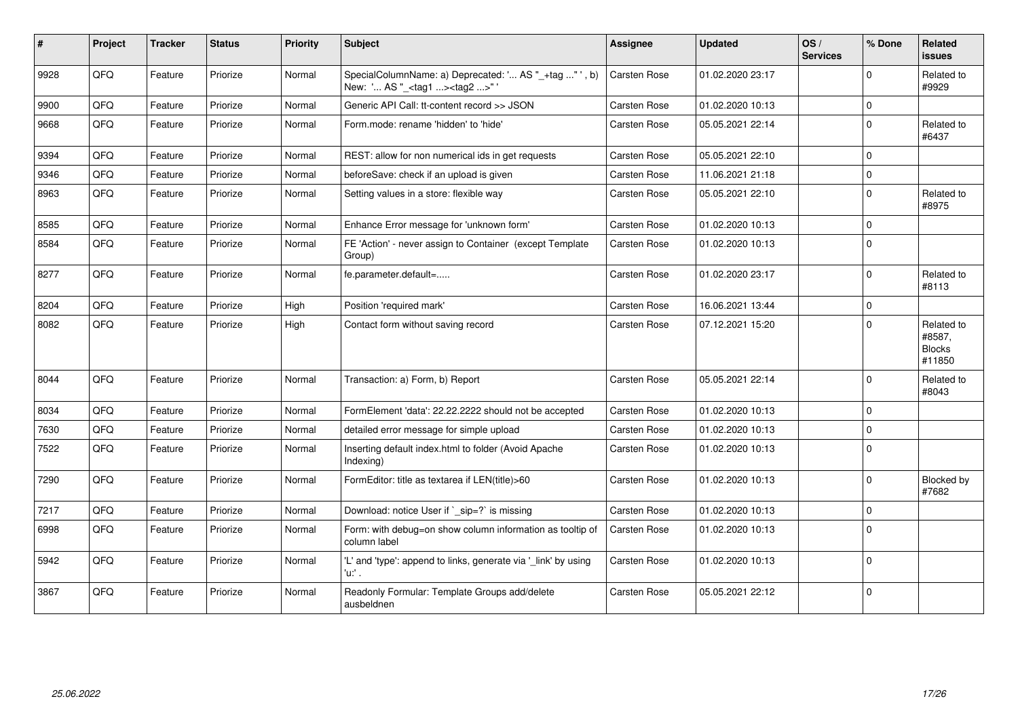| $\sharp$ | <b>Project</b> | <b>Tracker</b> | <b>Status</b> | <b>Priority</b> | <b>Subject</b>                                                                                   | <b>Assignee</b>     | <b>Updated</b>   | OS/<br><b>Services</b> | % Done              | <b>Related</b><br><b>issues</b>                 |
|----------|----------------|----------------|---------------|-----------------|--------------------------------------------------------------------------------------------------|---------------------|------------------|------------------------|---------------------|-------------------------------------------------|
| 9928     | QFQ            | Feature        | Priorize      | Normal          | SpecialColumnName: a) Deprecated: ' AS "_+tag "', b)<br>New: ' AS "_ <tag1><tag2>"</tag2></tag1> | Carsten Rose        | 01.02.2020 23:17 |                        | $\mathbf 0$         | Related to<br>#9929                             |
| 9900     | QFQ            | Feature        | Priorize      | Normal          | Generic API Call: tt-content record >> JSON                                                      | Carsten Rose        | 01.02.2020 10:13 |                        | $\mathsf{O}\xspace$ |                                                 |
| 9668     | QFQ            | Feature        | Priorize      | Normal          | Form.mode: rename 'hidden' to 'hide'                                                             | Carsten Rose        | 05.05.2021 22:14 |                        | $\mathbf 0$         | Related to<br>#6437                             |
| 9394     | QFQ            | Feature        | Priorize      | Normal          | REST: allow for non numerical ids in get requests                                                | Carsten Rose        | 05.05.2021 22:10 |                        | $\mathbf 0$         |                                                 |
| 9346     | QFQ            | Feature        | Priorize      | Normal          | beforeSave: check if an upload is given                                                          | Carsten Rose        | 11.06.2021 21:18 |                        | $\mathbf 0$         |                                                 |
| 8963     | QFQ            | Feature        | Priorize      | Normal          | Setting values in a store: flexible way                                                          | Carsten Rose        | 05.05.2021 22:10 |                        | $\mathbf 0$         | Related to<br>#8975                             |
| 8585     | QFQ            | Feature        | Priorize      | Normal          | Enhance Error message for 'unknown form'                                                         | Carsten Rose        | 01.02.2020 10:13 |                        | $\mathsf 0$         |                                                 |
| 8584     | QFQ            | Feature        | Priorize      | Normal          | FE 'Action' - never assign to Container (except Template<br>Group)                               | Carsten Rose        | 01.02.2020 10:13 |                        | $\Omega$            |                                                 |
| 8277     | QFQ            | Feature        | Priorize      | Normal          | fe.parameter.default=                                                                            | Carsten Rose        | 01.02.2020 23:17 |                        | $\mathbf 0$         | Related to<br>#8113                             |
| 8204     | QFQ            | Feature        | Priorize      | High            | Position 'required mark'                                                                         | Carsten Rose        | 16.06.2021 13:44 |                        | $\mathbf{0}$        |                                                 |
| 8082     | QFQ            | Feature        | Priorize      | High            | Contact form without saving record                                                               | Carsten Rose        | 07.12.2021 15:20 |                        | $\mathbf 0$         | Related to<br>#8587,<br><b>Blocks</b><br>#11850 |
| 8044     | QFQ            | Feature        | Priorize      | Normal          | Transaction: a) Form, b) Report                                                                  | Carsten Rose        | 05.05.2021 22:14 |                        | $\mathbf 0$         | Related to<br>#8043                             |
| 8034     | QFQ            | Feature        | Priorize      | Normal          | FormElement 'data': 22.22.2222 should not be accepted                                            | Carsten Rose        | 01.02.2020 10:13 |                        | $\mathbf 0$         |                                                 |
| 7630     | QFQ            | Feature        | Priorize      | Normal          | detailed error message for simple upload                                                         | Carsten Rose        | 01.02.2020 10:13 |                        | $\mathbf 0$         |                                                 |
| 7522     | QFQ            | Feature        | Priorize      | Normal          | Inserting default index.html to folder (Avoid Apache<br>Indexing)                                | Carsten Rose        | 01.02.2020 10:13 |                        | $\mathsf 0$         |                                                 |
| 7290     | QFQ            | Feature        | Priorize      | Normal          | FormEditor: title as textarea if LEN(title)>60                                                   | Carsten Rose        | 01.02.2020 10:13 |                        | $\mathbf 0$         | Blocked by<br>#7682                             |
| 7217     | QFQ            | Feature        | Priorize      | Normal          | Download: notice User if `_sip=?` is missing                                                     | <b>Carsten Rose</b> | 01.02.2020 10:13 |                        | $\mathbf 0$         |                                                 |
| 6998     | QFQ            | Feature        | Priorize      | Normal          | Form: with debug=on show column information as tooltip of<br>column label                        | Carsten Rose        | 01.02.2020 10:13 |                        | $\mathbf 0$         |                                                 |
| 5942     | QFQ            | Feature        | Priorize      | Normal          | 'L' and 'type': append to links, generate via '_link' by using<br>'u:' .                         | Carsten Rose        | 01.02.2020 10:13 |                        | $\Omega$            |                                                 |
| 3867     | QFQ            | Feature        | Priorize      | Normal          | Readonly Formular: Template Groups add/delete<br>ausbeldnen                                      | Carsten Rose        | 05.05.2021 22:12 |                        | $\mathbf 0$         |                                                 |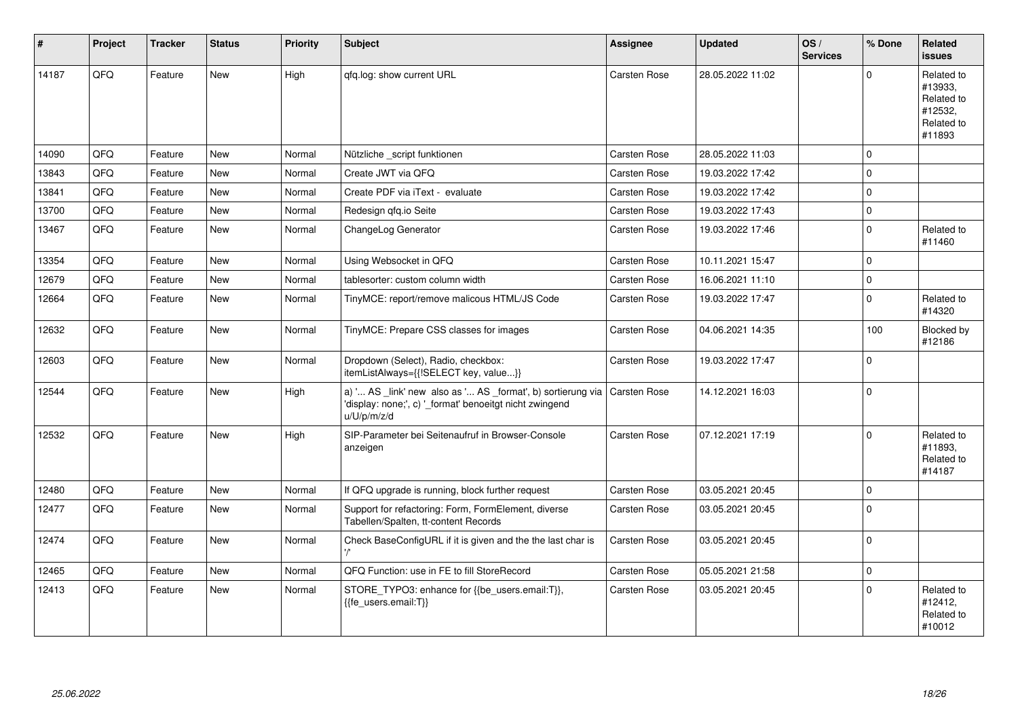| #     | Project | <b>Tracker</b> | <b>Status</b> | <b>Priority</b> | Subject                                                                                                                               | Assignee            | <b>Updated</b>   | OS/<br><b>Services</b> | % Done       | Related<br><b>issues</b>                                               |
|-------|---------|----------------|---------------|-----------------|---------------------------------------------------------------------------------------------------------------------------------------|---------------------|------------------|------------------------|--------------|------------------------------------------------------------------------|
| 14187 | QFQ     | Feature        | New           | High            | qfq.log: show current URL                                                                                                             | Carsten Rose        | 28.05.2022 11:02 |                        | $\Omega$     | Related to<br>#13933,<br>Related to<br>#12532,<br>Related to<br>#11893 |
| 14090 | QFQ     | Feature        | <b>New</b>    | Normal          | Nützliche script funktionen                                                                                                           | <b>Carsten Rose</b> | 28.05.2022 11:03 |                        | $\mathbf 0$  |                                                                        |
| 13843 | QFQ     | Feature        | <b>New</b>    | Normal          | Create JWT via QFQ                                                                                                                    | Carsten Rose        | 19.03.2022 17:42 |                        | $\mathbf 0$  |                                                                        |
| 13841 | QFQ     | Feature        | <b>New</b>    | Normal          | Create PDF via iText - evaluate                                                                                                       | Carsten Rose        | 19.03.2022 17:42 |                        | $\Omega$     |                                                                        |
| 13700 | QFQ     | Feature        | New           | Normal          | Redesign gfg.io Seite                                                                                                                 | <b>Carsten Rose</b> | 19.03.2022 17:43 |                        | $\pmb{0}$    |                                                                        |
| 13467 | QFQ     | Feature        | New           | Normal          | ChangeLog Generator                                                                                                                   | Carsten Rose        | 19.03.2022 17:46 |                        | $\pmb{0}$    | Related to<br>#11460                                                   |
| 13354 | QFQ     | Feature        | New           | Normal          | Using Websocket in QFQ                                                                                                                | Carsten Rose        | 10.11.2021 15:47 |                        | $\Omega$     |                                                                        |
| 12679 | QFQ     | Feature        | <b>New</b>    | Normal          | tablesorter: custom column width                                                                                                      | Carsten Rose        | 16.06.2021 11:10 |                        | $\mathbf{0}$ |                                                                        |
| 12664 | QFQ     | Feature        | New           | Normal          | TinyMCE: report/remove malicous HTML/JS Code                                                                                          | Carsten Rose        | 19.03.2022 17:47 |                        | $\mathbf 0$  | Related to<br>#14320                                                   |
| 12632 | QFQ     | Feature        | New           | Normal          | TinyMCE: Prepare CSS classes for images                                                                                               | Carsten Rose        | 04.06.2021 14:35 |                        | 100          | Blocked by<br>#12186                                                   |
| 12603 | QFQ     | Feature        | <b>New</b>    | Normal          | Dropdown (Select), Radio, checkbox:<br>itemListAlways={{!SELECT key, value}}                                                          | Carsten Rose        | 19.03.2022 17:47 |                        | $\mathbf 0$  |                                                                        |
| 12544 | QFQ     | Feature        | New           | High            | a) ' AS _link' new also as ' AS _format', b) sortierung via<br>'display: none;', c) '_format' benoeitgt nicht zwingend<br>u/U/p/m/z/d | Carsten Rose        | 14.12.2021 16:03 |                        | $\mathbf 0$  |                                                                        |
| 12532 | QFQ     | Feature        | <b>New</b>    | High            | SIP-Parameter bei Seitenaufruf in Browser-Console<br>anzeigen                                                                         | Carsten Rose        | 07.12.2021 17:19 |                        | $\mathbf 0$  | Related to<br>#11893.<br>Related to<br>#14187                          |
| 12480 | QFQ     | Feature        | <b>New</b>    | Normal          | If QFQ upgrade is running, block further request                                                                                      | <b>Carsten Rose</b> | 03.05.2021 20:45 |                        | $\mathbf 0$  |                                                                        |
| 12477 | QFQ     | Feature        | <b>New</b>    | Normal          | Support for refactoring: Form, FormElement, diverse<br>Tabellen/Spalten, tt-content Records                                           | Carsten Rose        | 03.05.2021 20:45 |                        | $\Omega$     |                                                                        |
| 12474 | QFQ     | Feature        | New           | Normal          | Check BaseConfigURL if it is given and the the last char is                                                                           | Carsten Rose        | 03.05.2021 20:45 |                        | $\mathbf 0$  |                                                                        |
| 12465 | QFQ     | Feature        | New           | Normal          | QFQ Function: use in FE to fill StoreRecord                                                                                           | Carsten Rose        | 05.05.2021 21:58 |                        | $\pmb{0}$    |                                                                        |
| 12413 | QFQ     | Feature        | <b>New</b>    | Normal          | STORE_TYPO3: enhance for {{be_users.email:T}},<br>{{fe users.email:T}}                                                                | <b>Carsten Rose</b> | 03.05.2021 20:45 |                        | $\mathbf 0$  | Related to<br>#12412,<br>Related to<br>#10012                          |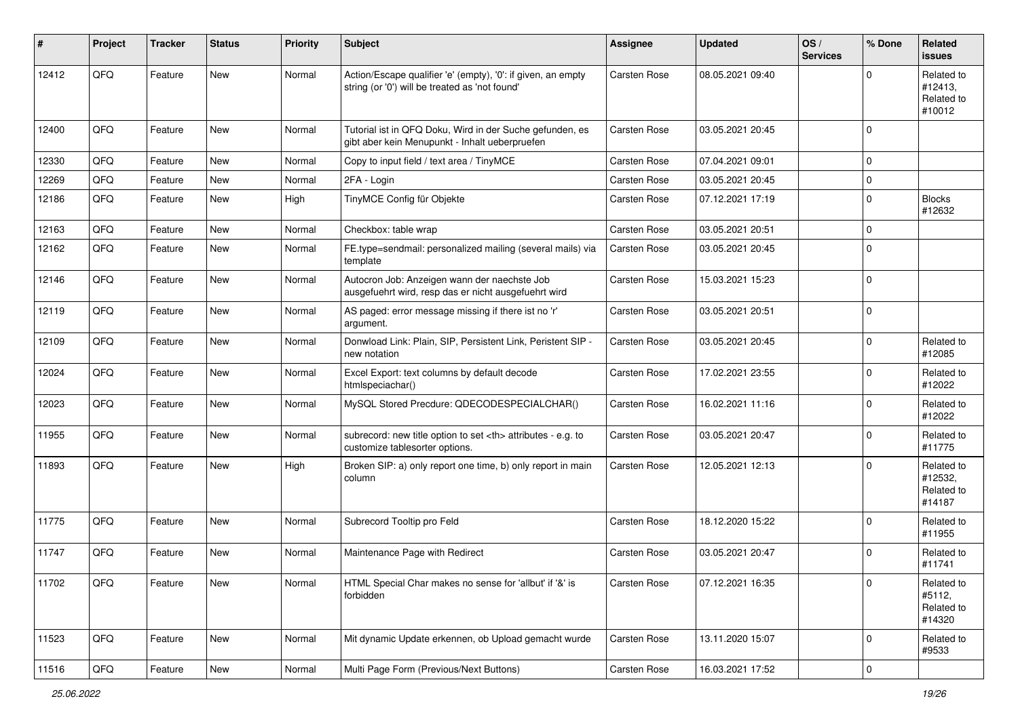| #     | Project | <b>Tracker</b> | <b>Status</b> | <b>Priority</b> | <b>Subject</b>                                                                                                 | <b>Assignee</b>                                        | <b>Updated</b>   | OS/<br><b>Services</b> | % Done      | Related<br><b>issues</b>                      |                      |
|-------|---------|----------------|---------------|-----------------|----------------------------------------------------------------------------------------------------------------|--------------------------------------------------------|------------------|------------------------|-------------|-----------------------------------------------|----------------------|
| 12412 | QFQ     | Feature        | New           | Normal          | Action/Escape qualifier 'e' (empty), '0': if given, an empty<br>string (or '0') will be treated as 'not found' | Carsten Rose                                           | 08.05.2021 09:40 |                        | $\Omega$    | Related to<br>#12413,<br>Related to<br>#10012 |                      |
| 12400 | QFQ     | Feature        | <b>New</b>    | Normal          | Tutorial ist in QFQ Doku, Wird in der Suche gefunden, es<br>gibt aber kein Menupunkt - Inhalt ueberpruefen     | Carsten Rose                                           | 03.05.2021 20:45 |                        | $\mathbf 0$ |                                               |                      |
| 12330 | QFQ     | Feature        | <b>New</b>    | Normal          | Copy to input field / text area / TinyMCE                                                                      | Carsten Rose                                           | 07.04.2021 09:01 |                        | $\mathbf 0$ |                                               |                      |
| 12269 | QFQ     | Feature        | New           | Normal          | 2FA - Login                                                                                                    | Carsten Rose                                           | 03.05.2021 20:45 |                        | $\mathbf 0$ |                                               |                      |
| 12186 | QFQ     | Feature        | New           | High            | TinyMCE Config für Objekte                                                                                     | Carsten Rose                                           | 07.12.2021 17:19 |                        | $\mathbf 0$ | <b>Blocks</b><br>#12632                       |                      |
| 12163 | QFQ     | Feature        | New           | Normal          | Checkbox: table wrap                                                                                           | Carsten Rose                                           | 03.05.2021 20:51 |                        | $\mathbf 0$ |                                               |                      |
| 12162 | QFQ     | Feature        | New           | Normal          | FE.type=sendmail: personalized mailing (several mails) via<br>template                                         | Carsten Rose                                           | 03.05.2021 20:45 |                        | $\mathbf 0$ |                                               |                      |
| 12146 | QFQ     | Feature        | New           | Normal          | Autocron Job: Anzeigen wann der naechste Job<br>ausgefuehrt wird, resp das er nicht ausgefuehrt wird           | Carsten Rose                                           | 15.03.2021 15:23 |                        | $\mathbf 0$ |                                               |                      |
| 12119 | QFQ     | Feature        | New           | Normal          | AS paged: error message missing if there ist no 'r'<br>argument.                                               | Carsten Rose                                           | 03.05.2021 20:51 |                        | $\mathbf 0$ |                                               |                      |
| 12109 | QFQ     | Feature        | <b>New</b>    | Normal          | Donwload Link: Plain, SIP, Persistent Link, Peristent SIP -<br>new notation                                    | Carsten Rose                                           | 03.05.2021 20:45 |                        | $\mathbf 0$ | Related to<br>#12085                          |                      |
| 12024 | QFQ     | Feature        | New           | Normal          | Excel Export: text columns by default decode<br>htmlspeciachar()                                               | Carsten Rose                                           | 17.02.2021 23:55 |                        | $\mathbf 0$ | Related to<br>#12022                          |                      |
| 12023 | QFQ     | Feature        | New           | Normal          | MySQL Stored Precdure: QDECODESPECIALCHAR()                                                                    | Carsten Rose                                           | 16.02.2021 11:16 |                        | $\mathbf 0$ | Related to<br>#12022                          |                      |
| 11955 | QFQ     | Feature        | New           | Normal          | subrecord: new title option to set <th> attributes - e.g. to<br/>customize tablesorter options.</th>           | attributes - e.g. to<br>customize tablesorter options. | Carsten Rose     | 03.05.2021 20:47       |             | $\mathbf 0$                                   | Related to<br>#11775 |
| 11893 | QFQ     | Feature        | New           | High            | Broken SIP: a) only report one time, b) only report in main<br>column                                          | Carsten Rose                                           | 12.05.2021 12:13 |                        | $\mathbf 0$ | Related to<br>#12532,<br>Related to<br>#14187 |                      |
| 11775 | QFQ     | Feature        | <b>New</b>    | Normal          | Subrecord Tooltip pro Feld                                                                                     | Carsten Rose                                           | 18.12.2020 15:22 |                        | $\mathbf 0$ | Related to<br>#11955                          |                      |
| 11747 | QFQ     | Feature        | <b>New</b>    | Normal          | Maintenance Page with Redirect                                                                                 | Carsten Rose                                           | 03.05.2021 20:47 |                        | $\mathbf 0$ | Related to<br>#11741                          |                      |
| 11702 | QFG     | Feature        | New           | Normal          | HTML Special Char makes no sense for 'allbut' if '&' is<br>forbidden                                           | Carsten Rose                                           | 07.12.2021 16:35 |                        | $\pmb{0}$   | Related to<br>#5112,<br>Related to<br>#14320  |                      |
| 11523 | QFQ     | Feature        | New           | Normal          | Mit dynamic Update erkennen, ob Upload gemacht wurde                                                           | Carsten Rose                                           | 13.11.2020 15:07 |                        | 0           | Related to<br>#9533                           |                      |
| 11516 | QFQ     | Feature        | New           | Normal          | Multi Page Form (Previous/Next Buttons)                                                                        | Carsten Rose                                           | 16.03.2021 17:52 |                        | $\pmb{0}$   |                                               |                      |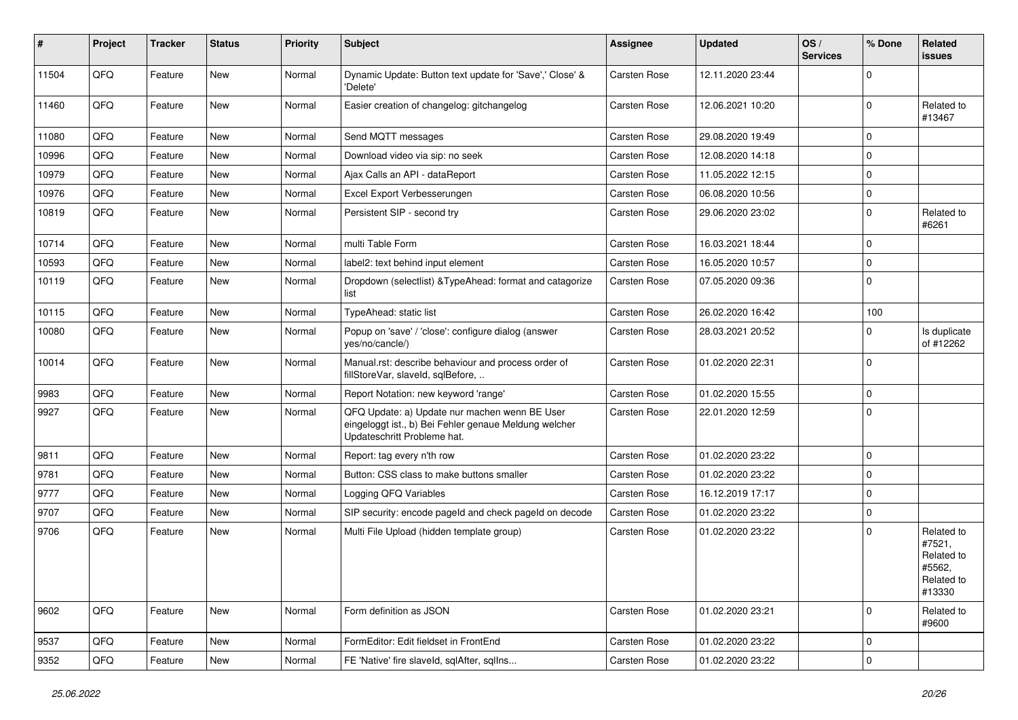| ∦     | Project | <b>Tracker</b> | <b>Status</b> | <b>Priority</b> | <b>Subject</b>                                                                                                                        | <b>Assignee</b> | <b>Updated</b>   | OS/<br><b>Services</b> | % Done              | Related<br><b>issues</b>                                             |
|-------|---------|----------------|---------------|-----------------|---------------------------------------------------------------------------------------------------------------------------------------|-----------------|------------------|------------------------|---------------------|----------------------------------------------------------------------|
| 11504 | QFQ     | Feature        | <b>New</b>    | Normal          | Dynamic Update: Button text update for 'Save',' Close' &<br>'Delete'                                                                  | Carsten Rose    | 12.11.2020 23:44 |                        | $\mathbf 0$         |                                                                      |
| 11460 | QFQ     | Feature        | <b>New</b>    | Normal          | Easier creation of changelog: gitchangelog                                                                                            | Carsten Rose    | 12.06.2021 10:20 |                        | $\mathbf 0$         | Related to<br>#13467                                                 |
| 11080 | QFQ     | Feature        | New           | Normal          | Send MQTT messages                                                                                                                    | Carsten Rose    | 29.08.2020 19:49 |                        | $\mathbf 0$         |                                                                      |
| 10996 | QFQ     | Feature        | <b>New</b>    | Normal          | Download video via sip: no seek                                                                                                       | Carsten Rose    | 12.08.2020 14:18 |                        | $\mathbf 0$         |                                                                      |
| 10979 | QFQ     | Feature        | New           | Normal          | Ajax Calls an API - dataReport                                                                                                        | Carsten Rose    | 11.05.2022 12:15 |                        | $\mathbf 0$         |                                                                      |
| 10976 | QFQ     | Feature        | New           | Normal          | Excel Export Verbesserungen                                                                                                           | Carsten Rose    | 06.08.2020 10:56 |                        | $\mathbf 0$         |                                                                      |
| 10819 | QFQ     | Feature        | <b>New</b>    | Normal          | Persistent SIP - second try                                                                                                           | Carsten Rose    | 29.06.2020 23:02 |                        | $\mathbf 0$         | Related to<br>#6261                                                  |
| 10714 | QFQ     | Feature        | <b>New</b>    | Normal          | multi Table Form                                                                                                                      | Carsten Rose    | 16.03.2021 18:44 |                        | $\mathbf 0$         |                                                                      |
| 10593 | QFQ     | Feature        | <b>New</b>    | Normal          | label2: text behind input element                                                                                                     | Carsten Rose    | 16.05.2020 10:57 |                        | $\mathbf 0$         |                                                                      |
| 10119 | QFQ     | Feature        | New           | Normal          | Dropdown (selectlist) & Type Ahead: format and catagorize<br>list                                                                     | Carsten Rose    | 07.05.2020 09:36 |                        | $\mathbf 0$         |                                                                      |
| 10115 | QFQ     | Feature        | New           | Normal          | <b>TypeAhead: static list</b>                                                                                                         | Carsten Rose    | 26.02.2020 16:42 |                        | 100                 |                                                                      |
| 10080 | QFQ     | Feature        | New           | Normal          | Popup on 'save' / 'close': configure dialog (answer<br>yes/no/cancle/)                                                                | Carsten Rose    | 28.03.2021 20:52 |                        | $\mathbf 0$         | Is duplicate<br>of #12262                                            |
| 10014 | QFQ     | Feature        | New           | Normal          | Manual.rst: describe behaviour and process order of<br>fillStoreVar, slaveld, sglBefore,                                              | Carsten Rose    | 01.02.2020 22:31 |                        | $\mathbf 0$         |                                                                      |
| 9983  | QFQ     | Feature        | <b>New</b>    | Normal          | Report Notation: new keyword 'range'                                                                                                  | Carsten Rose    | 01.02.2020 15:55 |                        | $\mathbf 0$         |                                                                      |
| 9927  | QFQ     | Feature        | New           | Normal          | QFQ Update: a) Update nur machen wenn BE User<br>eingeloggt ist., b) Bei Fehler genaue Meldung welcher<br>Updateschritt Probleme hat. | Carsten Rose    | 22.01.2020 12:59 |                        | $\mathbf 0$         |                                                                      |
| 9811  | QFQ     | Feature        | New           | Normal          | Report: tag every n'th row                                                                                                            | Carsten Rose    | 01.02.2020 23:22 |                        | $\mathbf 0$         |                                                                      |
| 9781  | QFQ     | Feature        | <b>New</b>    | Normal          | Button: CSS class to make buttons smaller                                                                                             | Carsten Rose    | 01.02.2020 23:22 |                        | $\mathbf 0$         |                                                                      |
| 9777  | QFQ     | Feature        | New           | Normal          | Logging QFQ Variables                                                                                                                 | Carsten Rose    | 16.12.2019 17:17 |                        | $\mathbf 0$         |                                                                      |
| 9707  | QFQ     | Feature        | New           | Normal          | SIP security: encode pageld and check pageld on decode                                                                                | Carsten Rose    | 01.02.2020 23:22 |                        | $\mathbf 0$         |                                                                      |
| 9706  | QFQ     | Feature        | New           | Normal          | Multi File Upload (hidden template group)                                                                                             | Carsten Rose    | 01.02.2020 23:22 |                        | $\mathbf 0$         | Related to<br>#7521,<br>Related to<br>#5562,<br>Related to<br>#13330 |
| 9602  | QFQ     | Feature        | New           | Normal          | Form definition as JSON                                                                                                               | Carsten Rose    | 01.02.2020 23:21 |                        | $\mathbf 0$         | Related to<br>#9600                                                  |
| 9537  | QFQ     | Feature        | New           | Normal          | FormEditor: Edit fieldset in FrontEnd                                                                                                 | Carsten Rose    | 01.02.2020 23:22 |                        | $\mathbf 0$         |                                                                      |
| 9352  | QFG     | Feature        | New           | Normal          | FE 'Native' fire slaveld, sqlAfter, sqlIns                                                                                            | Carsten Rose    | 01.02.2020 23:22 |                        | $\mathsf{O}\xspace$ |                                                                      |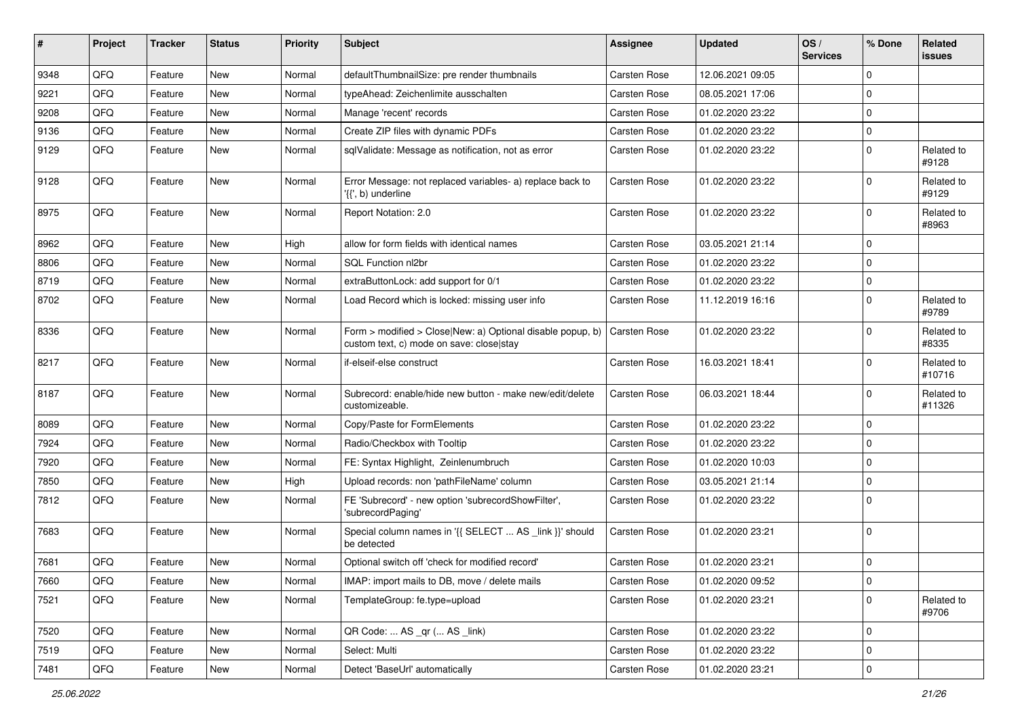| #    | Project | <b>Tracker</b> | <b>Status</b> | <b>Priority</b> | <b>Subject</b>                                                                                         | <b>Assignee</b> | <b>Updated</b>   | OS/<br><b>Services</b> | % Done      | Related<br><b>issues</b> |
|------|---------|----------------|---------------|-----------------|--------------------------------------------------------------------------------------------------------|-----------------|------------------|------------------------|-------------|--------------------------|
| 9348 | QFQ     | Feature        | <b>New</b>    | Normal          | defaultThumbnailSize: pre render thumbnails                                                            | Carsten Rose    | 12.06.2021 09:05 |                        | $\mathbf 0$ |                          |
| 9221 | QFQ     | Feature        | New           | Normal          | typeAhead: Zeichenlimite ausschalten                                                                   | Carsten Rose    | 08.05.2021 17:06 |                        | $\mathbf 0$ |                          |
| 9208 | QFQ     | Feature        | <b>New</b>    | Normal          | Manage 'recent' records                                                                                | Carsten Rose    | 01.02.2020 23:22 |                        | $\mathbf 0$ |                          |
| 9136 | QFQ     | Feature        | <b>New</b>    | Normal          | Create ZIP files with dynamic PDFs                                                                     | Carsten Rose    | 01.02.2020 23:22 |                        | $\mathbf 0$ |                          |
| 9129 | QFQ     | Feature        | New           | Normal          | sqlValidate: Message as notification, not as error                                                     | Carsten Rose    | 01.02.2020 23:22 |                        | $\mathbf 0$ | Related to<br>#9128      |
| 9128 | QFQ     | Feature        | <b>New</b>    | Normal          | Error Message: not replaced variables- a) replace back to<br>'{{', b) underline                        | Carsten Rose    | 01.02.2020 23:22 |                        | $\mathbf 0$ | Related to<br>#9129      |
| 8975 | QFQ     | Feature        | <b>New</b>    | Normal          | Report Notation: 2.0                                                                                   | Carsten Rose    | 01.02.2020 23:22 |                        | $\mathbf 0$ | Related to<br>#8963      |
| 8962 | QFQ     | Feature        | <b>New</b>    | High            | allow for form fields with identical names                                                             | Carsten Rose    | 03.05.2021 21:14 |                        | $\mathbf 0$ |                          |
| 8806 | QFQ     | Feature        | <b>New</b>    | Normal          | SQL Function nl2br                                                                                     | Carsten Rose    | 01.02.2020 23:22 |                        | $\mathbf 0$ |                          |
| 8719 | QFQ     | Feature        | New           | Normal          | extraButtonLock: add support for 0/1                                                                   | Carsten Rose    | 01.02.2020 23:22 |                        | $\mathbf 0$ |                          |
| 8702 | QFQ     | Feature        | New           | Normal          | Load Record which is locked: missing user info                                                         | Carsten Rose    | 11.12.2019 16:16 |                        | $\mathbf 0$ | Related to<br>#9789      |
| 8336 | QFQ     | Feature        | <b>New</b>    | Normal          | Form > modified > Close New: a) Optional disable popup, b)<br>custom text, c) mode on save: close stay | Carsten Rose    | 01.02.2020 23:22 |                        | $\mathbf 0$ | Related to<br>#8335      |
| 8217 | QFQ     | Feature        | <b>New</b>    | Normal          | if-elseif-else construct                                                                               | Carsten Rose    | 16.03.2021 18:41 |                        | $\mathbf 0$ | Related to<br>#10716     |
| 8187 | QFQ     | Feature        | <b>New</b>    | Normal          | Subrecord: enable/hide new button - make new/edit/delete<br>customizeable.                             | Carsten Rose    | 06.03.2021 18:44 |                        | $\mathbf 0$ | Related to<br>#11326     |
| 8089 | QFQ     | Feature        | <b>New</b>    | Normal          | Copy/Paste for FormElements                                                                            | Carsten Rose    | 01.02.2020 23:22 |                        | $\mathbf 0$ |                          |
| 7924 | QFQ     | Feature        | <b>New</b>    | Normal          | Radio/Checkbox with Tooltip                                                                            | Carsten Rose    | 01.02.2020 23:22 |                        | $\mathbf 0$ |                          |
| 7920 | QFQ     | Feature        | New           | Normal          | FE: Syntax Highlight, Zeinlenumbruch                                                                   | Carsten Rose    | 01.02.2020 10:03 |                        | $\mathbf 0$ |                          |
| 7850 | QFQ     | Feature        | New           | High            | Upload records: non 'pathFileName' column                                                              | Carsten Rose    | 03.05.2021 21:14 |                        | $\mathbf 0$ |                          |
| 7812 | QFQ     | Feature        | New           | Normal          | FE 'Subrecord' - new option 'subrecordShowFilter',<br>'subrecordPaging'                                | Carsten Rose    | 01.02.2020 23:22 |                        | $\mathbf 0$ |                          |
| 7683 | QFQ     | Feature        | <b>New</b>    | Normal          | Special column names in '{{ SELECT  AS _link }}' should<br>be detected                                 | Carsten Rose    | 01.02.2020 23:21 |                        | $\mathbf 0$ |                          |
| 7681 | QFQ     | Feature        | New           | Normal          | Optional switch off 'check for modified record'                                                        | Carsten Rose    | 01.02.2020 23:21 |                        | $\mathbf 0$ |                          |
| 7660 | QFQ     | Feature        | New           | Normal          | IMAP: import mails to DB, move / delete mails                                                          | Carsten Rose    | 01.02.2020 09:52 |                        | $\mathbf 0$ |                          |
| 7521 | QFQ     | Feature        | New           | Normal          | TemplateGroup: fe.type=upload                                                                          | Carsten Rose    | 01.02.2020 23:21 |                        | $\mathbf 0$ | Related to<br>#9706      |
| 7520 | QFQ     | Feature        | New           | Normal          | QR Code:  AS _qr ( AS _link)                                                                           | Carsten Rose    | 01.02.2020 23:22 |                        | $\pmb{0}$   |                          |
| 7519 | QFQ     | Feature        | New           | Normal          | Select: Multi                                                                                          | Carsten Rose    | 01.02.2020 23:22 |                        | $\mathbf 0$ |                          |
| 7481 | QFQ     | Feature        | New           | Normal          | Detect 'BaseUrl' automatically                                                                         | Carsten Rose    | 01.02.2020 23:21 |                        | $\mathbf 0$ |                          |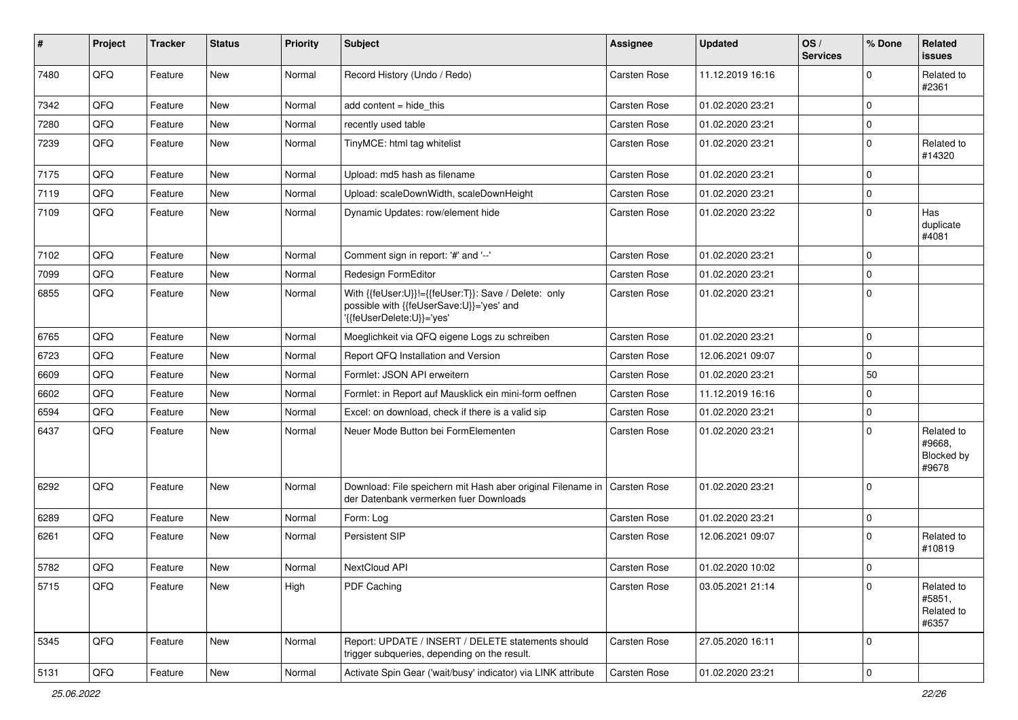| #    | Project | <b>Tracker</b> | <b>Status</b> | <b>Priority</b> | <b>Subject</b>                                                                                                               | <b>Assignee</b> | <b>Updated</b>   | OS/<br><b>Services</b> | % Done      | Related<br><b>issues</b>                    |
|------|---------|----------------|---------------|-----------------|------------------------------------------------------------------------------------------------------------------------------|-----------------|------------------|------------------------|-------------|---------------------------------------------|
| 7480 | QFQ     | Feature        | <b>New</b>    | Normal          | Record History (Undo / Redo)                                                                                                 | Carsten Rose    | 11.12.2019 16:16 |                        | $\mathbf 0$ | Related to<br>#2361                         |
| 7342 | QFQ     | Feature        | New           | Normal          | add content $=$ hide this                                                                                                    | Carsten Rose    | 01.02.2020 23:21 |                        | $\mathbf 0$ |                                             |
| 7280 | QFQ     | Feature        | <b>New</b>    | Normal          | recently used table                                                                                                          | Carsten Rose    | 01.02.2020 23:21 |                        | $\mathbf 0$ |                                             |
| 7239 | QFQ     | Feature        | New           | Normal          | TinyMCE: html tag whitelist                                                                                                  | Carsten Rose    | 01.02.2020 23:21 |                        | $\mathbf 0$ | Related to<br>#14320                        |
| 7175 | QFQ     | Feature        | <b>New</b>    | Normal          | Upload: md5 hash as filename                                                                                                 | Carsten Rose    | 01.02.2020 23:21 |                        | $\mathbf 0$ |                                             |
| 7119 | QFQ     | Feature        | New           | Normal          | Upload: scaleDownWidth, scaleDownHeight                                                                                      | Carsten Rose    | 01.02.2020 23:21 |                        | $\mathbf 0$ |                                             |
| 7109 | QFQ     | Feature        | New           | Normal          | Dynamic Updates: row/element hide                                                                                            | Carsten Rose    | 01.02.2020 23:22 |                        | $\mathbf 0$ | Has<br>duplicate<br>#4081                   |
| 7102 | QFQ     | Feature        | <b>New</b>    | Normal          | Comment sign in report: '#' and '--'                                                                                         | Carsten Rose    | 01.02.2020 23:21 |                        | $\mathbf 0$ |                                             |
| 7099 | QFQ     | Feature        | New           | Normal          | Redesign FormEditor                                                                                                          | Carsten Rose    | 01.02.2020 23:21 |                        | $\mathbf 0$ |                                             |
| 6855 | QFQ     | Feature        | New           | Normal          | With {{feUser:U}}!={{feUser:T}}: Save / Delete: only<br>possible with {{feUserSave:U}}='yes' and<br>'{feUserDelete:U}}='yes' | Carsten Rose    | 01.02.2020 23:21 |                        | $\pmb{0}$   |                                             |
| 6765 | QFQ     | Feature        | <b>New</b>    | Normal          | Moeglichkeit via QFQ eigene Logs zu schreiben                                                                                | Carsten Rose    | 01.02.2020 23:21 |                        | $\pmb{0}$   |                                             |
| 6723 | QFQ     | Feature        | New           | Normal          | Report QFQ Installation and Version                                                                                          | Carsten Rose    | 12.06.2021 09:07 |                        | $\mathbf 0$ |                                             |
| 6609 | QFQ     | Feature        | New           | Normal          | Formlet: JSON API erweitern                                                                                                  | Carsten Rose    | 01.02.2020 23:21 |                        | 50          |                                             |
| 6602 | QFQ     | Feature        | New           | Normal          | Formlet: in Report auf Mausklick ein mini-form oeffnen                                                                       | Carsten Rose    | 11.12.2019 16:16 |                        | $\mathbf 0$ |                                             |
| 6594 | QFQ     | Feature        | New           | Normal          | Excel: on download, check if there is a valid sip                                                                            | Carsten Rose    | 01.02.2020 23:21 |                        | $\mathbf 0$ |                                             |
| 6437 | QFQ     | Feature        | New           | Normal          | Neuer Mode Button bei FormElementen                                                                                          | Carsten Rose    | 01.02.2020 23:21 |                        | $\mathbf 0$ | Related to<br>#9668,<br>Blocked by<br>#9678 |
| 6292 | QFQ     | Feature        | New           | Normal          | Download: File speichern mit Hash aber original Filename in<br>der Datenbank vermerken fuer Downloads                        | Carsten Rose    | 01.02.2020 23:21 |                        | $\mathbf 0$ |                                             |
| 6289 | QFQ     | Feature        | New           | Normal          | Form: Log                                                                                                                    | Carsten Rose    | 01.02.2020 23:21 |                        | $\pmb{0}$   |                                             |
| 6261 | QFQ     | Feature        | New           | Normal          | Persistent SIP                                                                                                               | Carsten Rose    | 12.06.2021 09:07 |                        | $\mathbf 0$ | Related to<br>#10819                        |
| 5782 | QFQ     | Feature        | New           | Normal          | NextCloud API                                                                                                                | Carsten Rose    | 01.02.2020 10:02 |                        | $\mathbf 0$ |                                             |
| 5715 | QFQ     | Feature        | New           | High            | PDF Caching                                                                                                                  | Carsten Rose    | 03.05.2021 21:14 |                        | $\mathbf 0$ | Related to<br>#5851,<br>Related to<br>#6357 |
| 5345 | QFQ     | Feature        | New           | Normal          | Report: UPDATE / INSERT / DELETE statements should<br>trigger subqueries, depending on the result.                           | Carsten Rose    | 27.05.2020 16:11 |                        | $\mathbf 0$ |                                             |
| 5131 | QFQ     | Feature        | New           | Normal          | Activate Spin Gear ('wait/busy' indicator) via LINK attribute                                                                | Carsten Rose    | 01.02.2020 23:21 |                        | $\pmb{0}$   |                                             |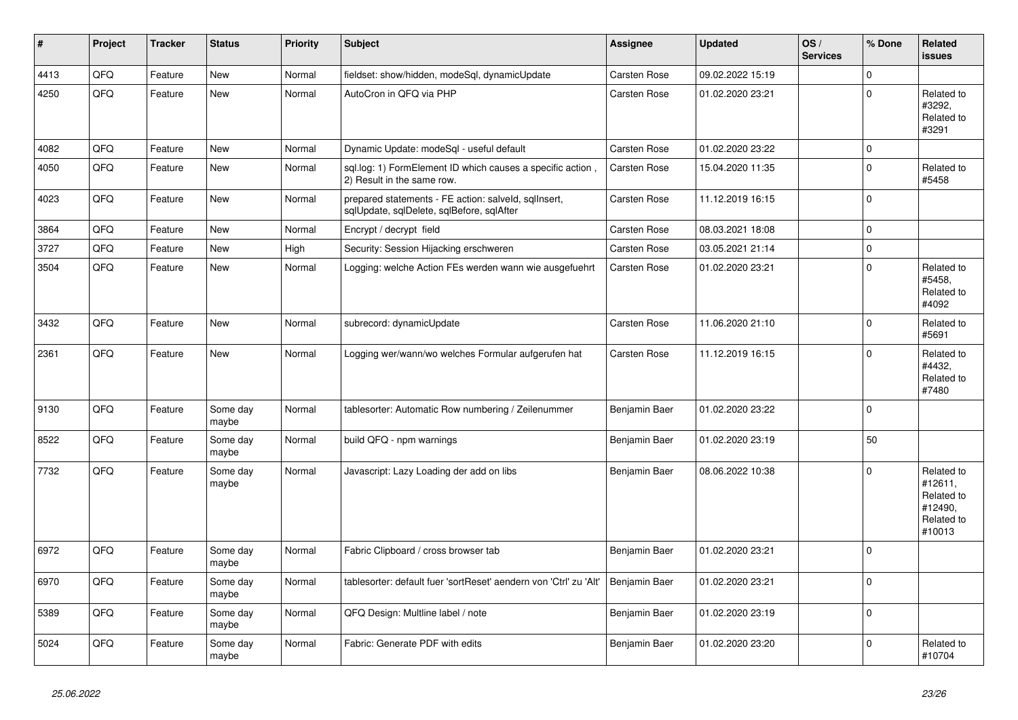| #    | Project | <b>Tracker</b> | <b>Status</b>     | <b>Priority</b> | <b>Subject</b>                                                                                    | Assignee            | <b>Updated</b>   | OS/<br><b>Services</b> | % Done       | Related<br><b>issues</b>                                               |
|------|---------|----------------|-------------------|-----------------|---------------------------------------------------------------------------------------------------|---------------------|------------------|------------------------|--------------|------------------------------------------------------------------------|
| 4413 | QFQ     | Feature        | <b>New</b>        | Normal          | fieldset: show/hidden, modeSql, dynamicUpdate                                                     | Carsten Rose        | 09.02.2022 15:19 |                        | $\mathbf{0}$ |                                                                        |
| 4250 | QFQ     | Feature        | <b>New</b>        | Normal          | AutoCron in QFQ via PHP                                                                           | Carsten Rose        | 01.02.2020 23:21 |                        | $\mathbf 0$  | Related to<br>#3292.<br>Related to<br>#3291                            |
| 4082 | QFQ     | Feature        | <b>New</b>        | Normal          | Dynamic Update: modeSql - useful default                                                          | <b>Carsten Rose</b> | 01.02.2020 23:22 |                        | $\Omega$     |                                                                        |
| 4050 | QFQ     | Feature        | New               | Normal          | sql.log: 1) FormElement ID which causes a specific action,<br>2) Result in the same row.          | Carsten Rose        | 15.04.2020 11:35 |                        | $\Omega$     | Related to<br>#5458                                                    |
| 4023 | QFQ     | Feature        | <b>New</b>        | Normal          | prepared statements - FE action: salveld, sqllnsert,<br>sqlUpdate, sqlDelete, sqlBefore, sqlAfter | Carsten Rose        | 11.12.2019 16:15 |                        | $\mathbf 0$  |                                                                        |
| 3864 | QFQ     | Feature        | <b>New</b>        | Normal          | Encrypt / decrypt field                                                                           | Carsten Rose        | 08.03.2021 18:08 |                        | $\mathbf 0$  |                                                                        |
| 3727 | QFQ     | Feature        | <b>New</b>        | High            | Security: Session Hijacking erschweren                                                            | Carsten Rose        | 03.05.2021 21:14 |                        | $\pmb{0}$    |                                                                        |
| 3504 | QFQ     | Feature        | New               | Normal          | Logging: welche Action FEs werden wann wie ausgefuehrt                                            | <b>Carsten Rose</b> | 01.02.2020 23:21 |                        | $\Omega$     | Related to<br>#5458.<br>Related to<br>#4092                            |
| 3432 | QFQ     | Feature        | <b>New</b>        | Normal          | subrecord: dynamicUpdate                                                                          | Carsten Rose        | 11.06.2020 21:10 |                        | $\Omega$     | Related to<br>#5691                                                    |
| 2361 | QFQ     | Feature        | <b>New</b>        | Normal          | Logging wer/wann/wo welches Formular aufgerufen hat                                               | Carsten Rose        | 11.12.2019 16:15 |                        | $\mathbf 0$  | Related to<br>#4432,<br>Related to<br>#7480                            |
| 9130 | QFQ     | Feature        | Some day<br>maybe | Normal          | tablesorter: Automatic Row numbering / Zeilenummer                                                | Benjamin Baer       | 01.02.2020 23:22 |                        | $\Omega$     |                                                                        |
| 8522 | QFQ     | Feature        | Some day<br>maybe | Normal          | build QFQ - npm warnings                                                                          | Benjamin Baer       | 01.02.2020 23:19 |                        | 50           |                                                                        |
| 7732 | QFQ     | Feature        | Some day<br>maybe | Normal          | Javascript: Lazy Loading der add on libs                                                          | Benjamin Baer       | 08.06.2022 10:38 |                        | $\mathbf 0$  | Related to<br>#12611,<br>Related to<br>#12490,<br>Related to<br>#10013 |
| 6972 | QFQ     | Feature        | Some day<br>maybe | Normal          | Fabric Clipboard / cross browser tab                                                              | Benjamin Baer       | 01.02.2020 23:21 |                        | $\Omega$     |                                                                        |
| 6970 | QFQ     | Feature        | Some day<br>maybe | Normal          | tablesorter: default fuer 'sortReset' aendern von 'Ctrl' zu 'Alt'                                 | Benjamin Baer       | 01.02.2020 23:21 |                        | $\Omega$     |                                                                        |
| 5389 | QFQ     | Feature        | Some day<br>maybe | Normal          | QFQ Design: Multline label / note                                                                 | Benjamin Baer       | 01.02.2020 23:19 |                        | $\Omega$     |                                                                        |
| 5024 | QFQ     | Feature        | Some day<br>maybe | Normal          | Fabric: Generate PDF with edits                                                                   | Benjamin Baer       | 01.02.2020 23:20 |                        | 0            | Related to<br>#10704                                                   |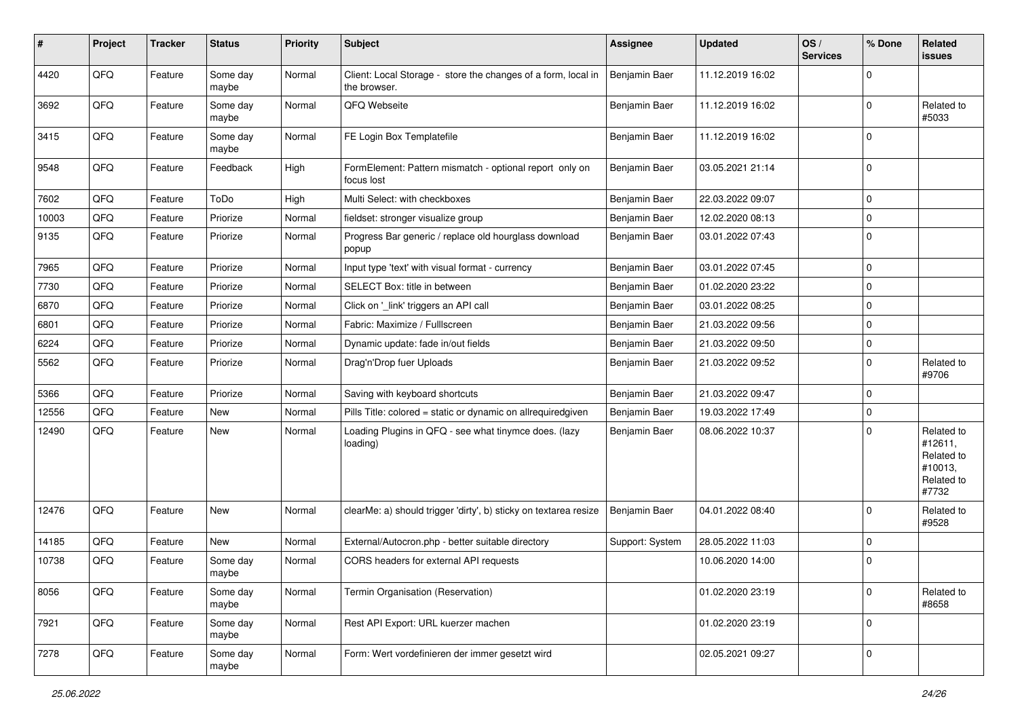| #     | Project | <b>Tracker</b> | <b>Status</b>     | <b>Priority</b> | <b>Subject</b>                                                                | <b>Assignee</b> | <b>Updated</b>   | OS/<br><b>Services</b> | % Done      | Related<br><b>issues</b>                                              |
|-------|---------|----------------|-------------------|-----------------|-------------------------------------------------------------------------------|-----------------|------------------|------------------------|-------------|-----------------------------------------------------------------------|
| 4420  | QFQ     | Feature        | Some day<br>maybe | Normal          | Client: Local Storage - store the changes of a form, local in<br>the browser. | Benjamin Baer   | 11.12.2019 16:02 |                        | $\mathbf 0$ |                                                                       |
| 3692  | QFQ     | Feature        | Some day<br>maybe | Normal          | QFQ Webseite                                                                  | Benjamin Baer   | 11.12.2019 16:02 |                        | $\mathbf 0$ | Related to<br>#5033                                                   |
| 3415  | QFQ     | Feature        | Some day<br>maybe | Normal          | FE Login Box Templatefile                                                     | Benjamin Baer   | 11.12.2019 16:02 |                        | $\mathbf 0$ |                                                                       |
| 9548  | QFQ     | Feature        | Feedback          | High            | FormElement: Pattern mismatch - optional report only on<br>focus lost         | Benjamin Baer   | 03.05.2021 21:14 |                        | $\mathbf 0$ |                                                                       |
| 7602  | QFQ     | Feature        | ToDo              | High            | Multi Select: with checkboxes                                                 | Benjamin Baer   | 22.03.2022 09:07 |                        | $\mathbf 0$ |                                                                       |
| 10003 | QFQ     | Feature        | Priorize          | Normal          | fieldset: stronger visualize group                                            | Benjamin Baer   | 12.02.2020 08:13 |                        | $\mathsf 0$ |                                                                       |
| 9135  | QFQ     | Feature        | Priorize          | Normal          | Progress Bar generic / replace old hourglass download<br>popup                | Benjamin Baer   | 03.01.2022 07:43 |                        | $\mathbf 0$ |                                                                       |
| 7965  | QFQ     | Feature        | Priorize          | Normal          | Input type 'text' with visual format - currency                               | Benjamin Baer   | 03.01.2022 07:45 |                        | $\mathbf 0$ |                                                                       |
| 7730  | QFQ     | Feature        | Priorize          | Normal          | SELECT Box: title in between                                                  | Benjamin Baer   | 01.02.2020 23:22 |                        | $\mathbf 0$ |                                                                       |
| 6870  | QFQ     | Feature        | Priorize          | Normal          | Click on '_link' triggers an API call                                         | Benjamin Baer   | 03.01.2022 08:25 |                        | $\mathbf 0$ |                                                                       |
| 6801  | QFQ     | Feature        | Priorize          | Normal          | Fabric: Maximize / FullIscreen                                                | Benjamin Baer   | 21.03.2022 09:56 |                        | 0           |                                                                       |
| 6224  | QFQ     | Feature        | Priorize          | Normal          | Dynamic update: fade in/out fields                                            | Benjamin Baer   | 21.03.2022 09:50 |                        | $\mathbf 0$ |                                                                       |
| 5562  | QFQ     | Feature        | Priorize          | Normal          | Drag'n'Drop fuer Uploads                                                      | Benjamin Baer   | 21.03.2022 09:52 |                        | $\mathbf 0$ | Related to<br>#9706                                                   |
| 5366  | QFQ     | Feature        | Priorize          | Normal          | Saving with keyboard shortcuts                                                | Benjamin Baer   | 21.03.2022 09:47 |                        | $\mathbf 0$ |                                                                       |
| 12556 | QFQ     | Feature        | New               | Normal          | Pills Title: colored = static or dynamic on allrequiredgiven                  | Benjamin Baer   | 19.03.2022 17:49 |                        | $\mathbf 0$ |                                                                       |
| 12490 | QFQ     | Feature        | New               | Normal          | Loading Plugins in QFQ - see what tinymce does. (lazy<br>loading)             | Benjamin Baer   | 08.06.2022 10:37 |                        | $\mathbf 0$ | Related to<br>#12611,<br>Related to<br>#10013,<br>Related to<br>#7732 |
| 12476 | QFQ     | Feature        | <b>New</b>        | Normal          | clearMe: a) should trigger 'dirty', b) sticky on textarea resize              | Benjamin Baer   | 04.01.2022 08:40 |                        | $\mathbf 0$ | Related to<br>#9528                                                   |
| 14185 | QFQ     | Feature        | New               | Normal          | External/Autocron.php - better suitable directory                             | Support: System | 28.05.2022 11:03 |                        | $\mathbf 0$ |                                                                       |
| 10738 | QFQ     | Feature        | Some day<br>maybe | Normal          | CORS headers for external API requests                                        |                 | 10.06.2020 14:00 |                        | $\mathbf 0$ |                                                                       |
| 8056  | QFQ     | Feature        | Some day<br>maybe | Normal          | Termin Organisation (Reservation)                                             |                 | 01.02.2020 23:19 |                        | $\mathbf 0$ | Related to<br>#8658                                                   |
| 7921  | QFQ     | Feature        | Some day<br>maybe | Normal          | Rest API Export: URL kuerzer machen                                           |                 | 01.02.2020 23:19 |                        | $\mathbf 0$ |                                                                       |
| 7278  | QFG     | Feature        | Some day<br>maybe | Normal          | Form: Wert vordefinieren der immer gesetzt wird                               |                 | 02.05.2021 09:27 |                        | $\mathbf 0$ |                                                                       |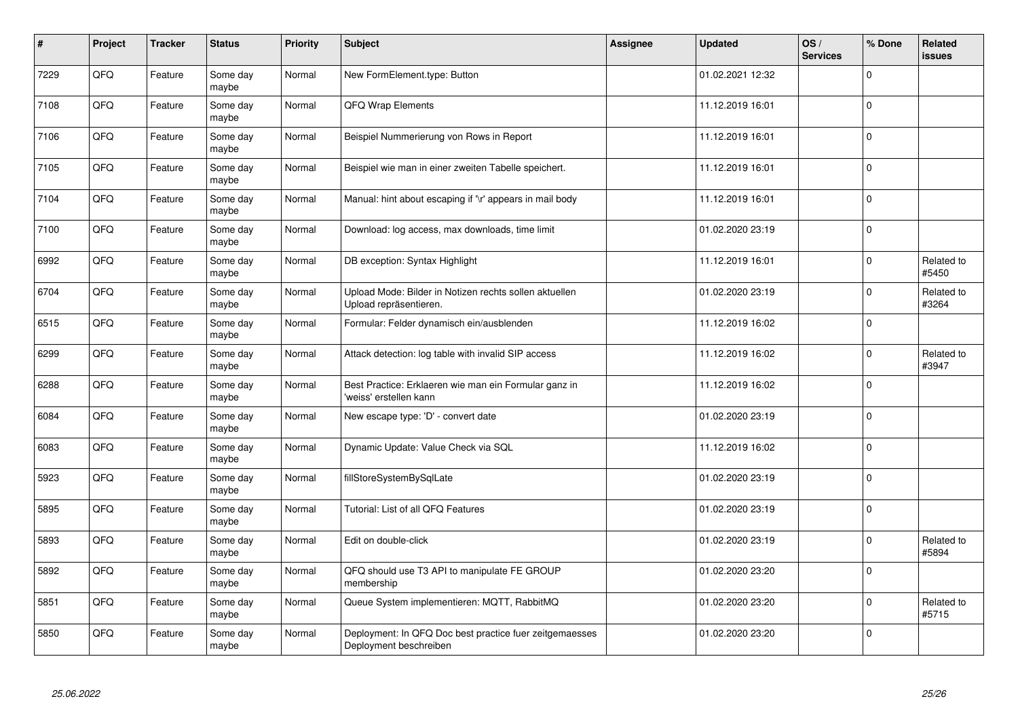| #    | Project | <b>Tracker</b> | <b>Status</b>     | <b>Priority</b> | <b>Subject</b>                                                                    | <b>Assignee</b> | <b>Updated</b>   | OS/<br><b>Services</b> | % Done              | Related<br><b>issues</b> |
|------|---------|----------------|-------------------|-----------------|-----------------------------------------------------------------------------------|-----------------|------------------|------------------------|---------------------|--------------------------|
| 7229 | QFQ     | Feature        | Some day<br>maybe | Normal          | New FormElement.type: Button                                                      |                 | 01.02.2021 12:32 |                        | $\mathbf 0$         |                          |
| 7108 | QFQ     | Feature        | Some day<br>maybe | Normal          | QFQ Wrap Elements                                                                 |                 | 11.12.2019 16:01 |                        | $\mathbf 0$         |                          |
| 7106 | QFQ     | Feature        | Some day<br>maybe | Normal          | Beispiel Nummerierung von Rows in Report                                          |                 | 11.12.2019 16:01 |                        | $\mathbf 0$         |                          |
| 7105 | QFQ     | Feature        | Some day<br>maybe | Normal          | Beispiel wie man in einer zweiten Tabelle speichert.                              |                 | 11.12.2019 16:01 |                        | $\mathbf 0$         |                          |
| 7104 | QFQ     | Feature        | Some day<br>maybe | Normal          | Manual: hint about escaping if '\r' appears in mail body                          |                 | 11.12.2019 16:01 |                        | $\mathbf 0$         |                          |
| 7100 | QFQ     | Feature        | Some day<br>maybe | Normal          | Download: log access, max downloads, time limit                                   |                 | 01.02.2020 23:19 |                        | $\mathsf{O}\xspace$ |                          |
| 6992 | QFQ     | Feature        | Some day<br>maybe | Normal          | DB exception: Syntax Highlight                                                    |                 | 11.12.2019 16:01 |                        | $\mathsf 0$         | Related to<br>#5450      |
| 6704 | QFQ     | Feature        | Some day<br>maybe | Normal          | Upload Mode: Bilder in Notizen rechts sollen aktuellen<br>Upload repräsentieren.  |                 | 01.02.2020 23:19 |                        | $\mathbf 0$         | Related to<br>#3264      |
| 6515 | QFQ     | Feature        | Some day<br>maybe | Normal          | Formular: Felder dynamisch ein/ausblenden                                         |                 | 11.12.2019 16:02 |                        | $\mathbf 0$         |                          |
| 6299 | QFQ     | Feature        | Some day<br>maybe | Normal          | Attack detection: log table with invalid SIP access                               |                 | 11.12.2019 16:02 |                        | $\mathsf 0$         | Related to<br>#3947      |
| 6288 | QFQ     | Feature        | Some day<br>maybe | Normal          | Best Practice: Erklaeren wie man ein Formular ganz in<br>'weiss' erstellen kann   |                 | 11.12.2019 16:02 |                        | $\mathbf 0$         |                          |
| 6084 | QFQ     | Feature        | Some day<br>maybe | Normal          | New escape type: 'D' - convert date                                               |                 | 01.02.2020 23:19 |                        | $\mathbf 0$         |                          |
| 6083 | QFQ     | Feature        | Some day<br>maybe | Normal          | Dynamic Update: Value Check via SQL                                               |                 | 11.12.2019 16:02 |                        | $\pmb{0}$           |                          |
| 5923 | QFQ     | Feature        | Some day<br>maybe | Normal          | fillStoreSystemBySqlLate                                                          |                 | 01.02.2020 23:19 |                        | $\mathsf 0$         |                          |
| 5895 | QFQ     | Feature        | Some day<br>maybe | Normal          | Tutorial: List of all QFQ Features                                                |                 | 01.02.2020 23:19 |                        | $\mathbf 0$         |                          |
| 5893 | QFQ     | Feature        | Some day<br>maybe | Normal          | Edit on double-click                                                              |                 | 01.02.2020 23:19 |                        | $\mathbf 0$         | Related to<br>#5894      |
| 5892 | QFQ     | Feature        | Some day<br>maybe | Normal          | QFQ should use T3 API to manipulate FE GROUP<br>membership                        |                 | 01.02.2020 23:20 |                        | $\mathbf 0$         |                          |
| 5851 | QFQ     | Feature        | Some day<br>maybe | Normal          | Queue System implementieren: MQTT, RabbitMQ                                       |                 | 01.02.2020 23:20 |                        | $\mathsf 0$         | Related to<br>#5715      |
| 5850 | QFQ     | Feature        | Some day<br>maybe | Normal          | Deployment: In QFQ Doc best practice fuer zeitgemaesses<br>Deployment beschreiben |                 | 01.02.2020 23:20 |                        | $\mathbf 0$         |                          |